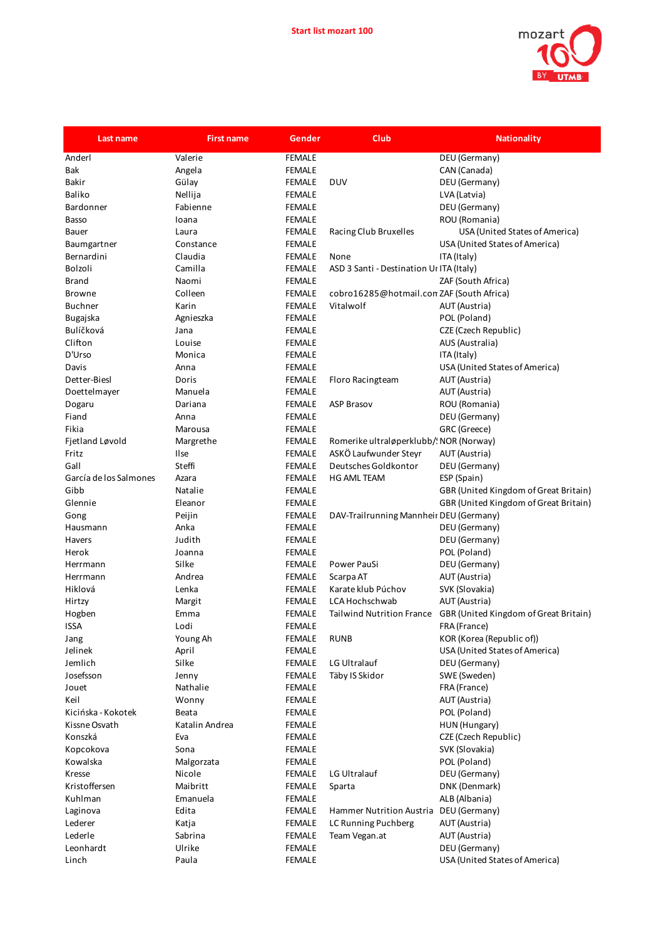

| Last name              | <b>First name</b> | Gender        | <b>Club</b>                               | <b>Nationality</b>                    |
|------------------------|-------------------|---------------|-------------------------------------------|---------------------------------------|
| Anderl                 | Valerie           | <b>FEMALE</b> |                                           | DEU (Germany)                         |
| Bak                    | Angela            | <b>FEMALE</b> |                                           | CAN (Canada)                          |
| <b>Bakir</b>           | Gülay             | <b>FEMALE</b> | <b>DUV</b>                                | DEU (Germany)                         |
| Baliko                 | Nellija           | <b>FEMALE</b> |                                           | LVA (Latvia)                          |
| Bardonner              | Fabienne          | <b>FEMALE</b> |                                           | DEU (Germany)                         |
| Basso                  | Ioana             | <b>FEMALE</b> |                                           | ROU (Romania)                         |
| Bauer                  | Laura             | <b>FEMALE</b> | Racing Club Bruxelles                     | USA (United States of America)        |
| Baumgartner            | Constance         | <b>FEMALE</b> |                                           | USA (United States of America)        |
| Bernardini             | Claudia           | <b>FEMALE</b> | None                                      | ITA (Italy)                           |
| Bolzoli                | Camilla           | <b>FEMALE</b> | ASD 3 Santi - Destination Ur ITA (Italy)  |                                       |
| <b>Brand</b>           | Naomi             | <b>FEMALE</b> |                                           | ZAF (South Africa)                    |
| <b>Browne</b>          | Colleen           | <b>FEMALE</b> | cobro16285@hotmail.con ZAF (South Africa) |                                       |
| <b>Buchner</b>         | Karin             | <b>FEMALE</b> | Vitalwolf                                 | AUT (Austria)                         |
| Bugajska               | Agnieszka         | <b>FEMALE</b> |                                           | POL (Poland)                          |
| Bulíčková              | Jana              | <b>FEMALE</b> |                                           | CZE (Czech Republic)                  |
| Clifton                | Louise            | <b>FEMALE</b> |                                           | AUS (Australia)                       |
| D'Urso                 | Monica            | <b>FEMALE</b> |                                           | ITA (Italy)                           |
| Davis                  | Anna              | <b>FEMALE</b> |                                           | USA (United States of America)        |
| Detter-Biesl           | Doris             | <b>FEMALE</b> | Floro Racingteam                          | AUT (Austria)                         |
| Doettelmayer           | Manuela           | <b>FEMALE</b> |                                           | AUT (Austria)                         |
| Dogaru                 | Dariana           | <b>FEMALE</b> | <b>ASP Brasov</b>                         | ROU (Romania)                         |
| Fiand                  | Anna              | <b>FEMALE</b> |                                           | DEU (Germany)                         |
| Fikia                  | Marousa           | <b>FEMALE</b> |                                           | GRC (Greece)                          |
| Fjetland Løvold        | Margrethe         | <b>FEMALE</b> | Romerike ultraløperklubb/! NOR (Norway)   |                                       |
| Fritz                  | Ilse              | <b>FEMALE</b> | ASKÖ Laufwunder Steyr                     | AUT (Austria)                         |
| Gall                   | Steffi            | <b>FEMALE</b> | Deutsches Goldkontor                      | DEU (Germany)                         |
| García de los Salmones | Azara             | <b>FEMALE</b> | HG AML TEAM                               | ESP (Spain)                           |
| Gibb                   | Natalie           | <b>FEMALE</b> |                                           | GBR (United Kingdom of Great Britain) |
| Glennie                | Eleanor           | <b>FEMALE</b> |                                           | GBR (United Kingdom of Great Britain) |
| Gong                   | Peijin            | <b>FEMALE</b> | DAV-Trailrunning Mannheir DEU (Germany)   |                                       |
| Hausmann               | Anka              | <b>FEMALE</b> |                                           | DEU (Germany)                         |
| Havers                 | Judith            | <b>FEMALE</b> |                                           | DEU (Germany)                         |
| Herok                  | Joanna            | <b>FEMALE</b> |                                           | POL (Poland)                          |
| Herrmann               | Silke             | <b>FEMALE</b> | Power PauSi                               | DEU (Germany)                         |
| Herrmann               | Andrea            | <b>FEMALE</b> | Scarpa AT                                 | AUT (Austria)                         |
| Hiklová                | Lenka             | <b>FEMALE</b> | Karate klub Púchov                        | SVK (Slovakia)                        |
| Hirtzy                 | Margit            | <b>FEMALE</b> | LCA Hochschwab                            | AUT (Austria)                         |
| Hogben                 | Emma              | <b>FEMALE</b> | <b>Tailwind Nutrition France</b>          | GBR (United Kingdom of Great Britain) |
| ISSA                   | Lodi              | <b>FEMALE</b> |                                           | FRA (France)                          |
| Jang                   | Young Ah          | FEMALE        | <b>RUNB</b>                               | KOR (Korea (Republic of))             |
| Jelinek                | April             | <b>FEMALE</b> |                                           | USA (United States of America)        |
| Jemlich                | Silke             | <b>FEMALE</b> | LG Ultralauf                              | DEU (Germany)                         |
| Josefsson              | Jenny             | <b>FEMALE</b> | Täby IS Skidor                            | SWE (Sweden)                          |
| Jouet                  | Nathalie          | <b>FEMALE</b> |                                           | FRA (France)                          |
| Keil                   | Wonny             | <b>FEMALE</b> |                                           | AUT (Austria)                         |
| Kicińska - Kokotek     | Beata             | <b>FEMALE</b> |                                           | POL (Poland)                          |
| Kissne Osvath          | Katalin Andrea    | <b>FEMALE</b> |                                           | HUN (Hungary)                         |
| Konszká                | Eva               | FEMALE        |                                           | CZE (Czech Republic)                  |
| Kopcokova              | Sona              | <b>FEMALE</b> |                                           | SVK (Slovakia)                        |
| Kowalska               | Malgorzata        | <b>FEMALE</b> |                                           | POL (Poland)                          |
| Kresse                 | Nicole            | <b>FEMALE</b> | LG Ultralauf                              | DEU (Germany)                         |
| Kristoffersen          | Maibritt          | <b>FEMALE</b> | Sparta                                    | DNK (Denmark)                         |
| Kuhlman                | Emanuela          | <b>FEMALE</b> |                                           | ALB (Albania)                         |
| Laginova               | Edita             | <b>FEMALE</b> | Hammer Nutrition Austria                  | DEU (Germany)                         |
| Lederer                | Katja             | <b>FEMALE</b> | LC Running Puchberg                       | AUT (Austria)                         |
| Lederle                | Sabrina           | <b>FEMALE</b> | Team Vegan.at                             | AUT (Austria)                         |
| Leonhardt              | Ulrike            | <b>FEMALE</b> |                                           | DEU (Germany)                         |
| Linch                  | Paula             | <b>FEMALE</b> |                                           | USA (United States of America)        |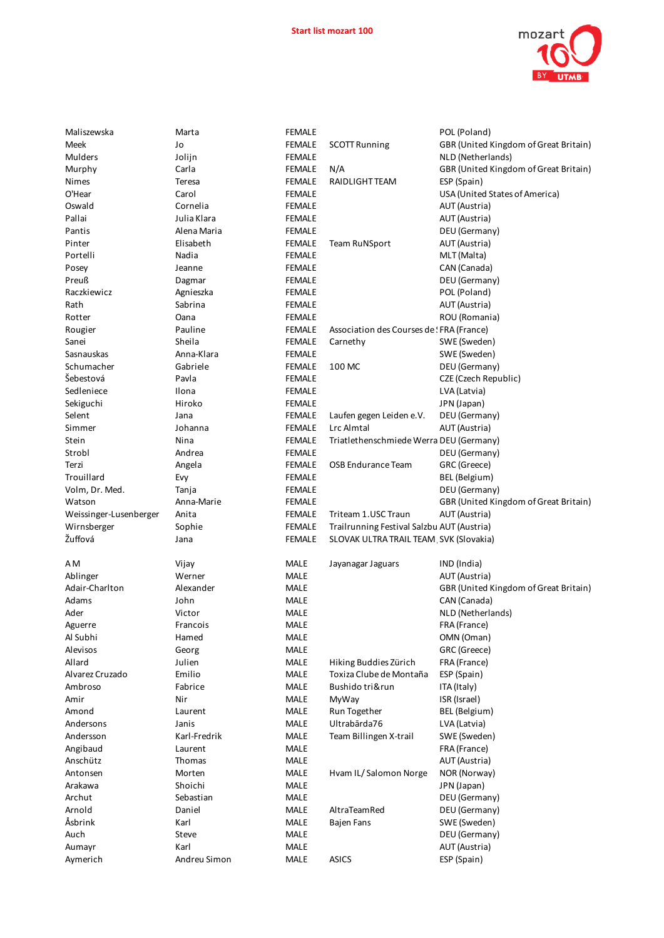

| Maliszewska            | Marta        | <b>FEMALE</b> |                                            | POL (Poland)                          |
|------------------------|--------------|---------------|--------------------------------------------|---------------------------------------|
| Meek                   | Jo           | <b>FEMALE</b> | <b>SCOTT Running</b>                       | GBR (United Kingdom of Great Britain) |
| Mulders                | Jolijn       | <b>FEMALE</b> |                                            | NLD (Netherlands)                     |
| Murphy                 | Carla        | <b>FEMALE</b> | N/A                                        | GBR (United Kingdom of Great Britain) |
| Nimes                  | Teresa       | <b>FEMALE</b> | RAIDLIGHT TEAM                             | ESP (Spain)                           |
| O'Hear                 | Carol        | <b>FEMALE</b> |                                            | USA (United States of America)        |
| Oswald                 | Cornelia     | <b>FEMALE</b> |                                            | AUT (Austria)                         |
| Pallai                 | Julia Klara  | <b>FEMALE</b> |                                            | AUT (Austria)                         |
| Pantis                 | Alena Maria  | <b>FEMALE</b> |                                            | DEU (Germany)                         |
| Pinter                 | Elisabeth    | <b>FEMALE</b> | <b>Team RuNSport</b>                       | AUT (Austria)                         |
| Portelli               | Nadia        | <b>FEMALE</b> |                                            | MLT (Malta)                           |
| Posey                  | Jeanne       | <b>FEMALE</b> |                                            | CAN (Canada)                          |
| Preuß                  | Dagmar       | <b>FEMALE</b> |                                            | DEU (Germany)                         |
| Raczkiewicz            | Agnieszka    | <b>FEMALE</b> |                                            | POL (Poland)                          |
| Rath                   | Sabrina      | <b>FEMALE</b> |                                            | AUT (Austria)                         |
| Rotter                 | Oana         | <b>FEMALE</b> |                                            | ROU (Romania)                         |
| Rougier                | Pauline      | <b>FEMALE</b> | Association des Courses de ! FRA (France)  |                                       |
| Sanei                  | Sheila       | <b>FEMALE</b> | Carnethy                                   | SWE (Sweden)                          |
| Sasnauskas             | Anna-Klara   | <b>FEMALE</b> |                                            | SWE (Sweden)                          |
| Schumacher             | Gabriele     | <b>FEMALE</b> | 100 MC                                     | DEU (Germany)                         |
| Šebestová              | Pavla        | <b>FEMALE</b> |                                            | CZE (Czech Republic)                  |
| Sedleniece             | Ilona        | <b>FEMALE</b> |                                            | LVA (Latvia)                          |
| Sekiguchi              | Hiroko       | <b>FEMALE</b> |                                            | JPN (Japan)                           |
| Selent                 | Jana         | <b>FEMALE</b> | Laufen gegen Leiden e.V.                   | DEU (Germany)                         |
| Simmer                 | Johanna      | <b>FEMALE</b> | Lrc Almtal                                 | AUT (Austria)                         |
| Stein                  | Nina         | <b>FEMALE</b> | Triatlethenschmiede Werra DEU (Germany)    |                                       |
| Strobl                 | Andrea       | <b>FEMALE</b> |                                            | DEU (Germany)                         |
| Terzi                  | Angela       | <b>FEMALE</b> | OSB Endurance Team                         | GRC (Greece)                          |
| Trouillard             | Evy          | <b>FEMALE</b> |                                            | BEL (Belgium)                         |
| Volm, Dr. Med.         | Tanja        | <b>FEMALE</b> |                                            | DEU (Germany)                         |
| Watson                 | Anna-Marie   | <b>FEMALE</b> |                                            | GBR (United Kingdom of Great Britain) |
| Weissinger-Lusenberger | Anita        | <b>FEMALE</b> | Triteam 1.USC Traun                        | AUT (Austria)                         |
| Wirnsberger            | Sophie       | <b>FEMALE</b> | Trailrunning Festival Salzbu AUT (Austria) |                                       |
| Žuffová                | Jana         | <b>FEMALE</b> | SLOVAK ULTRA TRAIL TEAM SVK (Slovakia)     |                                       |
| ΑM                     | Vijay        | MALE          | Jayanagar Jaguars                          | IND (India)                           |
| Ablinger               | Werner       | MALE          |                                            | AUT (Austria)                         |
| Adair-Charlton         | Alexander    | MALE          |                                            | GBR (United Kingdom of Great Britain) |
| Adams                  | John         | <b>MALE</b>   |                                            | CAN (Canada)                          |
| Ader                   | Victor       | MALE          |                                            | NLD (Netherlands)                     |
| Aguerre                | Francois     | <b>MALE</b>   |                                            | FRA (France)                          |
| Al Subhi               | Hamed        | MALE          |                                            | OMN (Oman)                            |
| Alevisos               | Georg        | MALE          |                                            | GRC (Greece)                          |
| Allard                 | Julien       | MALE          | Hiking Buddies Zürich                      | FRA (France)                          |
| Alvarez Cruzado        | Emilio       | MALE          | Toxiza Clube de Montaña                    | ESP (Spain)                           |
| Ambroso                | Fabrice      | MALE          | Bushido tri&run                            | ITA (Italy)                           |
| Amir                   | Nir          | MALE          | MyWay                                      | ISR (Israel)                          |
| Amond                  | Laurent      | MALE          | Run Together                               | BEL (Belgium)                         |
| Andersons              | Janis        | MALE          | Ultrabārda76                               | LVA (Latvia)                          |
| Andersson              | Karl-Fredrik | MALE          | Team Billingen X-trail                     | SWE (Sweden)                          |
| Angibaud               | Laurent      | <b>MALE</b>   |                                            | FRA (France)                          |
| Anschütz               | Thomas       | MALE          |                                            | AUT (Austria)                         |
| Antonsen               | Morten       | MALE          | Hvam IL/Salomon Norge                      | NOR (Norway)                          |
| Arakawa                | Shoichi      | MALE          |                                            | JPN (Japan)                           |
| Archut                 | Sebastian    | <b>MALE</b>   |                                            | DEU (Germany)                         |
| Arnold                 | Daniel       | MALE          | AltraTeamRed                               | DEU (Germany)                         |
| Åsbrink                | Karl         | MALE          | Bajen Fans                                 | SWE (Sweden)                          |
| Auch                   | Steve        | MALE          |                                            | DEU (Germany)                         |
| Aumayr                 | Karl         | MALE          |                                            | AUT (Austria)                         |
| Aymerich               | Andreu Simon | MALE          | ASICS                                      | ESP (Spain)                           |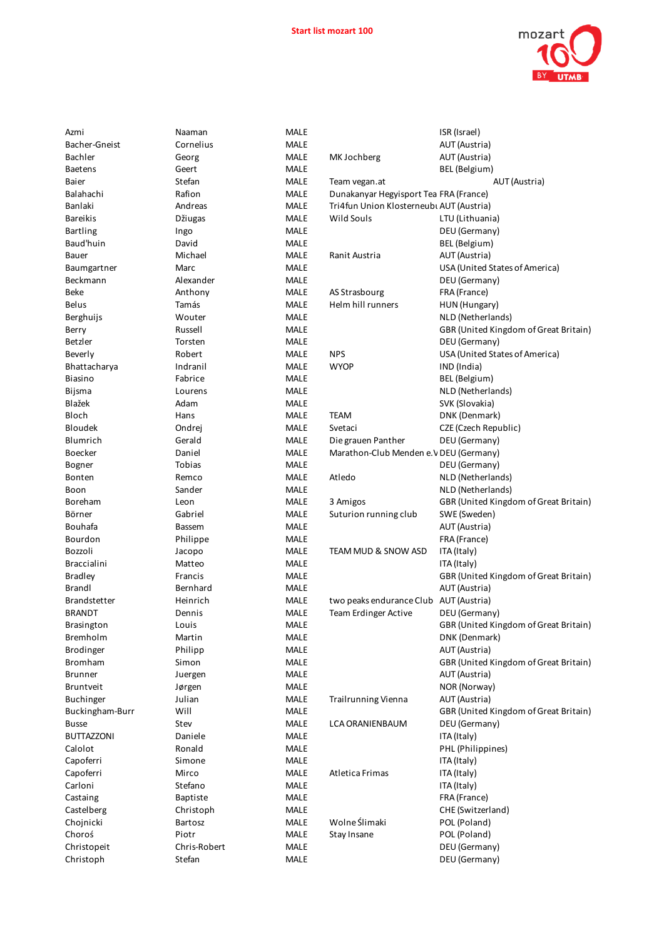

| Azmi                 | Naaman           | <b>MALE</b> |                                          | ISR (Israel)                          |
|----------------------|------------------|-------------|------------------------------------------|---------------------------------------|
| Bacher-Gneist        | Cornelius        | <b>MALE</b> |                                          | AUT (Austria)                         |
| Bachler              | Georg            | <b>MALE</b> | MK Jochberg                              | AUT (Austria)                         |
| Baetens              | Geert            | <b>MALE</b> |                                          | BEL (Belgium)                         |
| Baier                | Stefan           | MALE        | Team vegan.at                            | AUT (Austria)                         |
| Balahachi            | Rafion           | MALE        | Dunakanyar Hegyisport Tea FRA (France)   |                                       |
| Banlaki              | Andreas          | <b>MALE</b> | Tri4fun Union Klosterneubi AUT (Austria) |                                       |
| Bareikis             | Džiugas          | <b>MALE</b> | Wild Souls                               | LTU (Lithuania)                       |
| Bartling             | Ingo             | <b>MALE</b> |                                          | DEU (Germany)                         |
| Baud'huin            | David            | <b>MALE</b> |                                          | BEL (Belgium)                         |
| Bauer                | Michael          | <b>MALE</b> | Ranit Austria                            | AUT (Austria)                         |
| Baumgartner          | Marc             | <b>MALE</b> |                                          | USA (United States of America)        |
| Beckmann             | Alexander        | <b>MALE</b> |                                          | DEU (Germany)                         |
| Beke                 | Anthony          | <b>MALE</b> | AS Strasbourg                            | FRA (France)                          |
| Belus                | Tamás            | <b>MALE</b> | Helm hill runners                        | HUN (Hungary)                         |
| Berghuijs            | Wouter           | <b>MALE</b> |                                          | NLD (Netherlands)                     |
| Berry                | Russell          | <b>MALE</b> |                                          | GBR (United Kingdom of Great Britain) |
| Betzler              | Torsten          | MALE        |                                          | DEU (Germany)                         |
| Beverly              | Robert           | <b>MALE</b> | <b>NPS</b>                               | USA (United States of America)        |
| Bhattacharya         | Indranil         | <b>MALE</b> | <b>WYOP</b>                              | IND (India)                           |
| Biasino              | Fabrice          | MALE        |                                          | BEL (Belgium)                         |
| Bijsma               | Lourens          | <b>MALE</b> |                                          | NLD (Netherlands)                     |
| Blažek               | Adam             | <b>MALE</b> |                                          | SVK (Slovakia)                        |
| Bloch                | Hans             | <b>MALE</b> | TEAM                                     | DNK (Denmark)                         |
| Bloudek              | Ondrej           | <b>MALE</b> | Svetaci                                  | CZE (Czech Republic)                  |
| Blumrich             | Gerald           | MALE        | Die grauen Panther                       | DEU (Germany)                         |
| Boecker              | Daniel           | <b>MALE</b> | Marathon-Club Menden e.V DEU (Germany)   |                                       |
| Bogner               | Tobias           | <b>MALE</b> |                                          | DEU (Germany)                         |
| Bonten               | Remco            | <b>MALE</b> | Atledo                                   | NLD (Netherlands)                     |
| Boon                 | Sander           | <b>MALE</b> |                                          | NLD (Netherlands)                     |
| Boreham              | Leon             | MALE        | 3 Amigos                                 | GBR (United Kingdom of Great Britain) |
| Börner               | Gabriel          | MALE        | Suturion running club                    | SWE (Sweden)                          |
| Bouhafa              | <b>Bassem</b>    | <b>MALE</b> |                                          | AUT (Austria)                         |
| Bourdon              | Philippe         | MALE        |                                          | FRA (France)                          |
| Bozzoli              | Jacopo           | <b>MALE</b> | TEAM MUD & SNOW ASD                      | ITA (Italy)                           |
| Braccialini          | Matteo           | <b>MALE</b> |                                          | ITA (Italy)                           |
| Bradley              | Francis          | <b>MALE</b> |                                          | GBR (United Kingdom of Great Britain) |
| Brandl               | Bernhard         | <b>MALE</b> |                                          | AUT (Austria)                         |
| <b>Brandstetter</b>  | Heinrich         | <b>MALE</b> | two peaks endurance Club AUT (Austria)   |                                       |
| BRANDT               | Dennis           | <b>MALE</b> | <b>Team Erdinger Active</b>              | DEU (Germany)                         |
| Brasington           | Louis            | MALE        |                                          | GBR (United Kingdom of Great Britain) |
| Bremholm             | Martin           | MALE        |                                          | DNK (Denmark)                         |
| Brodinger            | Philipp          | MALE        |                                          | AUT (Austria)                         |
| <b>Bromham</b>       | Simon            | MALE        |                                          | GBR (United Kingdom of Great Britain) |
| <b>Brunner</b>       | Juergen          | MALE        |                                          | AUT (Austria)                         |
| Bruntveit            | Jørgen           | <b>MALE</b> |                                          | NOR (Norway)                          |
| <b>Buchinger</b>     | Julian           | <b>MALE</b> | Trailrunning Vienna                      | AUT (Austria)                         |
| Buckingham-Burr      | Will             | MALE        |                                          | GBR (United Kingdom of Great Britain) |
| Busse                | Stev             | MALE        | LCA ORANIENBAUM                          | DEU (Germany)                         |
| BUTTAZZONI           | Daniele          | MALE        |                                          | ITA (Italy)                           |
| Calolot              | Ronald           | MALE        |                                          | PHL (Philippines)                     |
| Capoferri            | Simone           | MALE        |                                          | ITA (Italy)                           |
|                      |                  | <b>MALE</b> | Atletica Frimas                          |                                       |
| Capoferri<br>Carloni | Mirco<br>Stefano | MALE        |                                          | ITA (Italy)                           |
|                      |                  |             |                                          | ITA (Italy)                           |
| Castaing             | Baptiste         | MALE        |                                          | FRA (France)<br>CHE (Switzerland)     |
| Castelberg           | Christoph        | MALE        |                                          |                                       |
| Chojnicki            | Bartosz          | MALE        | Wolne Ślimaki                            | POL (Poland)                          |
| Choroś               | Piotr            | MALE        | Stay Insane                              | POL (Poland)                          |
| Christopeit          | Chris-Robert     | <b>MALE</b> |                                          | DEU (Germany)                         |
| Christoph            | Stefan           | MALE        |                                          | DEU (Germany)                         |
|                      |                  |             |                                          |                                       |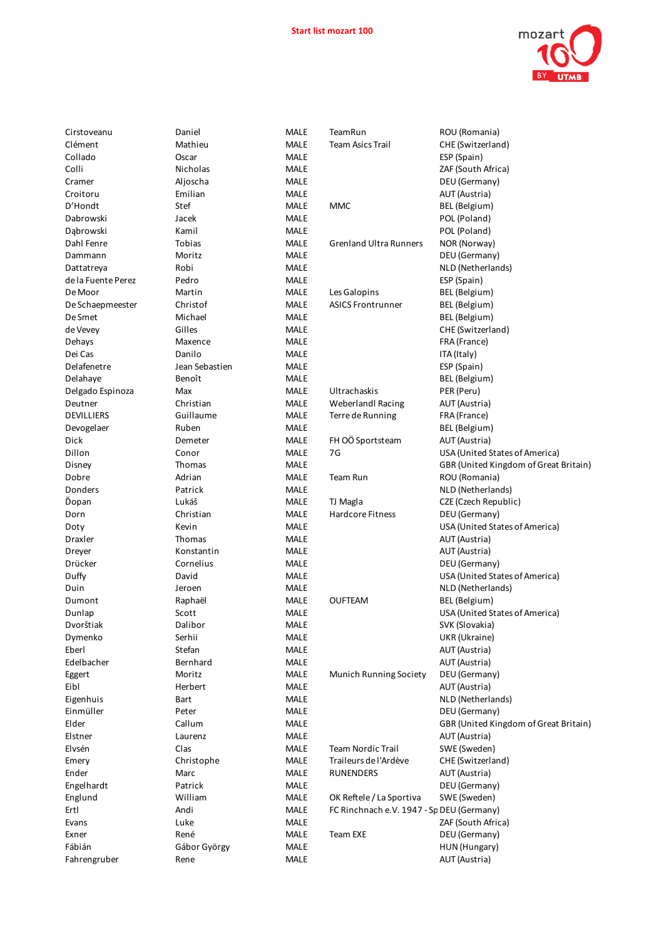

| Cirstoveanu        | Daniel         | <b>MALE</b> | TeamRun                                   | ROU (Romania)                         |
|--------------------|----------------|-------------|-------------------------------------------|---------------------------------------|
| Clément            | Mathieu        | <b>MALE</b> | <b>Team Asics Trail</b>                   | CHE (Switzerland)                     |
| Collado            | Oscar          | <b>MALE</b> |                                           | ESP (Spain)                           |
| Colli              | Nicholas       | MALE        |                                           | ZAF (South Africa)                    |
| Cramer             | Aljoscha       | <b>MALE</b> |                                           | DEU (Germany)                         |
| Croitoru           | Emilian        | <b>MALE</b> |                                           | AUT (Austria)                         |
| D'Hondt            | Stef           | <b>MALE</b> | <b>MMC</b>                                | BEL (Belgium)                         |
| Dabrowski          | Jacek          | <b>MALE</b> |                                           | POL (Poland)                          |
| Dąbrowski          | Kamil          | <b>MALE</b> |                                           | POL (Poland)                          |
| Dahl Fenre         | Tobias         | <b>MALE</b> | <b>Grenland Ultra Runners</b>             | NOR (Norway)                          |
| Dammann            | Moritz         | <b>MALE</b> |                                           | DEU (Germany)                         |
| Dattatreya         | Robi           | <b>MALE</b> |                                           | NLD (Netherlands)                     |
| de la Fuente Perez | Pedro          | <b>MALE</b> |                                           | ESP (Spain)                           |
| De Moor            | Martin         | <b>MALE</b> | Les Galopins                              | BEL (Belgium)                         |
| De Schaepmeester   | Christof       | <b>MALE</b> | <b>ASICS Frontrunner</b>                  | BEL (Belgium)                         |
| De Smet            | Michael        | <b>MALE</b> |                                           | BEL (Belgium)                         |
| de Vevey           | Gilles         | <b>MALE</b> |                                           | CHE (Switzerland)                     |
| Dehays             | Maxence        | <b>MALE</b> |                                           | FRA (France)                          |
| Dei Cas            | Danilo         | <b>MALE</b> |                                           | ITA (Italy)                           |
| Delafenetre        | Jean Sebastien | <b>MALE</b> |                                           | ESP (Spain)                           |
| Delahaye           | Benoît         | <b>MALE</b> |                                           | BEL (Belgium)                         |
| Delgado Espinoza   | Max            | <b>MALE</b> | Ultrachaskis                              | PER (Peru)                            |
| Deutner            | Christian      | <b>MALE</b> | <b>Weberlandl Racing</b>                  | AUT (Austria)                         |
| DEVILLIERS         | Guillaume      | <b>MALE</b> | Terre de Running                          | FRA (France)                          |
| Devogelaer         | Ruben          | <b>MALE</b> |                                           | BEL (Belgium)                         |
| Dick               | Demeter        | <b>MALE</b> | FH OÖ Sportsteam                          | AUT (Austria)                         |
| Dillon             | Conor          | <b>MALE</b> | 7G                                        | USA (United States of America)        |
| Disney             | Thomas         | <b>MALE</b> |                                           | GBR (United Kingdom of Great Britain) |
| Dobre              | Adrian         | <b>MALE</b> | Team Run                                  | ROU (Romania)                         |
| Donders            | Patrick        | <b>MALE</b> |                                           | NLD (Netherlands)                     |
| Ďopan              | Lukáš          | <b>MALE</b> | TJ Magla                                  | CZE (Czech Republic)                  |
| Dorn               | Christian      | <b>MALE</b> | <b>Hardcore Fitness</b>                   | DEU (Germany)                         |
| Doty               | Kevin          | <b>MALE</b> |                                           | USA (United States of America)        |
| Draxler            | Thomas         | MALE        |                                           | AUT (Austria)                         |
| Dreyer             | Konstantin     | <b>MALE</b> |                                           | AUT (Austria)                         |
| Drücker            | Cornelius      | <b>MALE</b> |                                           | DEU (Germany)                         |
| Duffy              | David          | <b>MALE</b> |                                           | USA (United States of America)        |
| Duin               | Jeroen         | MALE        |                                           | NLD (Netherlands)                     |
| Dumont             | Raphaël        | <b>MALE</b> | <b>OUFTEAM</b>                            | BEL (Belgium)                         |
| Dunlap             | Scott          | <b>MALE</b> |                                           | USA (United States of America)        |
| Dvorštiak          | Dalibor        | <b>MALE</b> |                                           | SVK (Slovakia)                        |
| Dymenko            | Serhii         | <b>MALE</b> |                                           | UKR (Ukraine)                         |
| Eberl              | Stefan         | <b>MALE</b> |                                           | AUT (Austria)                         |
| Edelbacher         | Bernhard       | <b>MALE</b> |                                           | AUT (Austria)                         |
| Eggert             | Moritz         | <b>MALE</b> | Munich Running Society                    | DEU (Germany)                         |
| Eibl               | Herbert        | <b>MALE</b> |                                           | AUT (Austria)                         |
| Eigenhuis          | Bart           | <b>MALE</b> |                                           | NLD (Netherlands)                     |
| Einmüller          | Peter          | <b>MALE</b> |                                           | DEU (Germany)                         |
| Elder              | Callum         | <b>MALE</b> |                                           | GBR (United Kingdom of Great Britain) |
| Elstner            | Laurenz        | <b>MALE</b> |                                           | AUT (Austria)                         |
| Elvsén             | Clas           | <b>MALE</b> | <b>Team Nordic Trail</b>                  | SWE (Sweden)                          |
| Emery              | Christophe     | <b>MALE</b> | Traileurs de l'Ardève                     | CHE (Switzerland)                     |
| Ender              | Marc           | <b>MALE</b> | <b>RUNENDERS</b>                          | AUT (Austria)                         |
| Engelhardt         | Patrick        | <b>MALE</b> |                                           | DEU (Germany)                         |
| Englund            | William        | <b>MALE</b> | OK Reftele / La Sportiva                  | SWE (Sweden)                          |
| Ertl               | Andi           | <b>MALE</b> | FC Rinchnach e.V. 1947 - Sp DEU (Germany) |                                       |
| Evans              | Luke           | <b>MALE</b> |                                           | ZAF (South Africa)                    |
| Exner              | René           | <b>MALE</b> | Team EXE                                  | DEU (Germany)                         |
| Fábián             | Gábor György   | <b>MALE</b> |                                           | HUN (Hungary)                         |
| Fahrengruber       | Rene           | <b>MALE</b> |                                           | AUT (Austria)                         |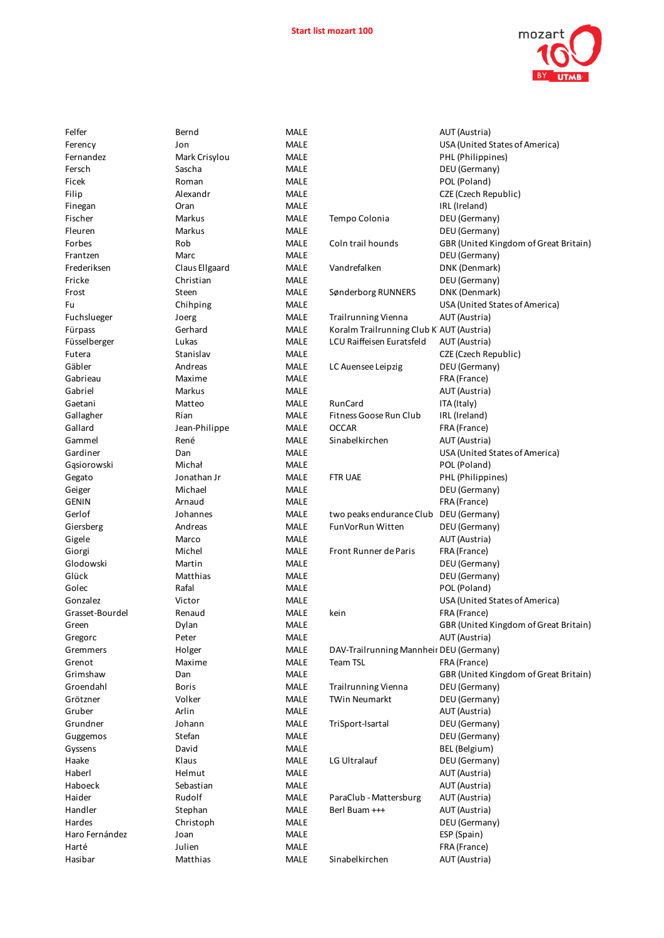

| <b>MALE</b> |
|-------------|
| MALE        |
|             |
| MALE        |
| MALE        |
| MALE        |
| MALE        |
|             |
| MALE        |
| MALE        |
| <b>MALE</b> |
|             |
| MALE        |
| MALE        |
| <b>MALE</b> |
| <b>MALE</b> |
|             |
| MALE        |
| MALE        |
| MALE        |
| MALE        |
|             |
| MALE        |
| MALE        |
| MALE        |
| MALE        |
|             |
| MALE        |
| MALE        |
| MALE        |
|             |
| MALE        |
| <b>MALE</b> |
| MALE        |
|             |
| <b>MALE</b> |
| MALE        |
| MALE        |
| MALE        |
|             |
| MALE        |
| MALE        |
|             |
|             |
| MALE        |
| MALE        |
| MALE        |
| MALE        |
|             |
| MALE        |
| MALE        |
| MALE        |
| MALE        |
|             |
| <b>MALE</b> |
| MALE        |
| MALE        |
| MALE        |
|             |
| MALE        |
| <b>MALE</b> |
| <b>MALE</b> |
| MALE        |
|             |
| MALE        |
| <b>MALE</b> |
| MALE        |
| MALE        |
|             |
| <b>MALE</b> |
| MALE        |
| MALE        |
| MALE        |
|             |
| MALE        |
| MALE        |

| Felfer          | Bernd          | <b>MALE</b> |                                          | AUT (Austria)                         |
|-----------------|----------------|-------------|------------------------------------------|---------------------------------------|
| Ferency         | Jon            | <b>MALE</b> |                                          | USA (United States of America)        |
| Fernandez       | Mark Crisylou  | MALE        |                                          | PHL (Philippines)                     |
| Fersch          | Sascha         | MALE        |                                          | DEU (Germany)                         |
| Ficek           | Roman          | <b>MALE</b> |                                          | POL (Poland)                          |
| Filip           | Alexandr       | <b>MALE</b> |                                          | CZE (Czech Republic)                  |
| Finegan         | Oran           | <b>MALE</b> |                                          | IRL (Ireland)                         |
| Fischer         | Markus         | <b>MALE</b> | Tempo Colonia                            | DEU (Germany)                         |
| Fleuren         | <b>Markus</b>  | <b>MALE</b> |                                          | DEU (Germany)                         |
| Forbes          | Rob            | <b>MALE</b> | Coln trail hounds                        | GBR (United Kingdom of Great Britain) |
| Frantzen        | Marc           | MALE        |                                          | DEU (Germany)                         |
| Frederiksen     | Claus Ellgaard | MALE        | Vandrefalken                             | DNK (Denmark)                         |
| Fricke          | Christian      | <b>MALE</b> |                                          | DEU (Germany)                         |
| Frost           | Steen          | <b>MALE</b> | Sønderborg RUNNERS                       | DNK (Denmark)                         |
| Fu              | Chihping       | <b>MALE</b> |                                          | USA (United States of America)        |
| Fuchslueger     | Joerg          | <b>MALE</b> | <b>Trailrunning Vienna</b>               | AUT (Austria)                         |
| Fürpass         | Gerhard        | MALE        | Koralm Trailrunning Club K AUT (Austria) |                                       |
| Füsselberger    | Lukas          | <b>MALE</b> | LCU Raiffeisen Euratsfeld                | AUT (Austria)                         |
| Futera          | Stanislav      | <b>MALE</b> |                                          | CZE (Czech Republic)                  |
| Gäbler          | Andreas        | <b>MALE</b> | LC Auensee Leipzig                       | DEU (Germany)                         |
| Gabrieau        | Maxime         | <b>MALE</b> |                                          | FRA (France)                          |
| Gabriel         | Markus         | MALE        |                                          | AUT (Austria)                         |
| Gaetani         | Matteo         | <b>MALE</b> | RunCard                                  | ITA (Italy)                           |
| Gallagher       | Rian           | <b>MALE</b> | Fitness Goose Run Club                   | IRL (Ireland)                         |
| Gallard         | Jean-Philippe  | <b>MALE</b> | <b>OCCAR</b>                             | FRA (France)                          |
| Gammel          | René           | <b>MALE</b> | Sinabelkirchen                           | AUT (Austria)                         |
| Gardiner        | Dan            | <b>MALE</b> |                                          | USA (United States of America)        |
| Gąsiorowski     | Michał         | MALE        |                                          | POL (Poland)                          |
| Gegato          | Jonathan Jr    | <b>MALE</b> | <b>FTR UAE</b>                           | PHL (Philippines)                     |
| Geiger          | Michael        | <b>MALE</b> |                                          | DEU (Germany)                         |
| GENIN           | Arnaud         | <b>MALE</b> |                                          | FRA (France)                          |
| Gerlof          | Johannes       | <b>MALE</b> | two peaks endurance Club                 | DEU (Germany)                         |
| Giersberg       | Andreas        | <b>MALE</b> | FunVorRun Witten                         | DEU (Germany)                         |
| Gigele          | Marco          | <b>MALE</b> |                                          | AUT (Austria)                         |
| Giorgi          | Michel         | <b>MALE</b> | <b>Front Runner de Paris</b>             | FRA (France)                          |
| Glodowski       | Martin         | MALE        |                                          | DEU (Germany)                         |
| Glück           | Matthias       | <b>MALE</b> |                                          | DEU (Germany)                         |
| Golec           | Rafal          | MALE        |                                          | POL (Poland)                          |
| Gonzalez        | Victor         | <b>MALE</b> |                                          | USA (United States of America)        |
| Grasset-Bourdel | Renaud         | <b>MALE</b> | kein                                     | FRA (France)                          |
| Green           | Dylan          | <b>MALE</b> |                                          | GBR (United Kingdom of Great Britain) |
| Gregorc         | Peter          | MALE        |                                          | AUT (Austria)                         |
| Gremmers        | Holger         | MALE        | DAV-Trailrunning Mannheir DEU (Germany)  |                                       |
| Grenot          | Maxime         | MALE        | <b>Team TSL</b>                          | FRA (France)                          |
| Grimshaw        | Dan            | MALE        |                                          | GBR (United Kingdom of Great Britain) |
| Groendahl       | <b>Boris</b>   | MALE        | <b>Trailrunning Vienna</b>               | DEU (Germany)                         |
| Grötzner        | Volker         | <b>MALE</b> | <b>TWin Neumarkt</b>                     | DEU (Germany)                         |
| Gruber          | Arlin          | <b>MALE</b> |                                          | AUT (Austria)                         |
| Grundner        | Johann         | MALE        | TriSport-Isartal                         | DEU (Germany)                         |
| Guggemos        | Stefan         | <b>MALE</b> |                                          | DEU (Germany)                         |
| Gyssens         | David          | MALE        |                                          | BEL (Belgium)                         |
| Haake           | Klaus          | MALE        | LG Ultralauf                             | DEU (Germany)                         |
| Haberl          | Helmut         | <b>MALE</b> |                                          | AUT (Austria)                         |
| Haboeck         | Sebastian      | MALE        |                                          | AUT (Austria)                         |
| Haider          | Rudolf         | MALE        | ParaClub - Mattersburg                   | AUT (Austria)                         |
| Handler         | Stephan        | <b>MALE</b> | Berl Buam +++                            | AUT (Austria)                         |
| Hardes          | Christoph      | <b>MALE</b> |                                          | DEU (Germany)                         |
| Haro Fernández  | Joan           | MALE        |                                          | ESP (Spain)                           |
| Harté           | Julien         | MALE        |                                          | FRA (France)                          |
| Hasibar         | Matthias       | MALE        | Sinabelkirchen                           | AUT (Austria)                         |
|                 |                |             |                                          |                                       |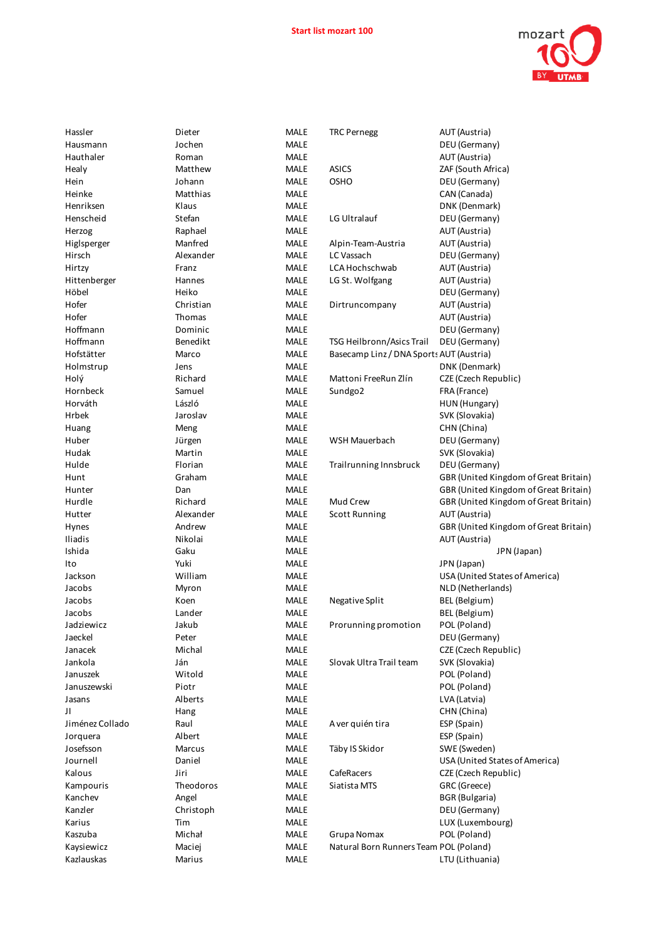

| Hassler         | Dieter        | MALE        | <b>TRC Pernegg</b>                       | AUT (Austria)                         |
|-----------------|---------------|-------------|------------------------------------------|---------------------------------------|
| Hausmann        | Jochen        | <b>MALE</b> |                                          | DEU (Germany)                         |
| Hauthaler       | Roman         | <b>MALE</b> |                                          | AUT (Austria)                         |
| Healy           | Matthew       | MALE        | <b>ASICS</b>                             | ZAF (South Africa)                    |
| Hein            | Johann        | <b>MALE</b> | <b>OSHO</b>                              | DEU (Germany)                         |
| Heinke          | Matthias      | <b>MALE</b> |                                          | CAN (Canada)                          |
| Henriksen       | Klaus         | <b>MALE</b> |                                          | DNK (Denmark)                         |
| Henscheid       | Stefan        | <b>MALE</b> | LG Ultralauf                             | DEU (Germany)                         |
| Herzog          | Raphael       | <b>MALE</b> |                                          | AUT (Austria)                         |
| Higlsperger     | Manfred       | <b>MALE</b> | Alpin-Team-Austria                       | AUT (Austria)                         |
| Hirsch          | Alexander     | <b>MALE</b> | LC Vassach                               | DEU (Germany)                         |
| Hirtzy          | Franz         | <b>MALE</b> | LCA Hochschwab                           | AUT (Austria)                         |
| Hittenberger    | Hannes        | <b>MALE</b> | LG St. Wolfgang                          | AUT (Austria)                         |
| Höbel           | Heiko         | MALE        |                                          | DEU (Germany)                         |
| Hofer           | Christian     | MALE        | Dirtruncompany                           | AUT (Austria)                         |
| Hofer           | Thomas        | <b>MALE</b> |                                          | AUT (Austria)                         |
| Hoffmann        | Dominic       | <b>MALE</b> |                                          | DEU (Germany)                         |
| Hoffmann        | Benedikt      | <b>MALE</b> | TSG Heilbronn/Asics Trail                | DEU (Germany)                         |
| Hofstätter      | Marco         | MALE        | Basecamp Linz / DNA Sports AUT (Austria) |                                       |
| Holmstrup       | Jens          | <b>MALE</b> |                                          | DNK (Denmark)                         |
| Holý            | Richard       | <b>MALE</b> | Mattoni FreeRun Zlín                     | CZE (Czech Republic)                  |
| Hornbeck        | Samuel        | <b>MALE</b> | Sundgo2                                  | FRA (France)                          |
| Horváth         | László        | <b>MALE</b> |                                          | HUN (Hungary)                         |
| Hrbek           | Jaroslav      | <b>MALE</b> |                                          | SVK (Slovakia)                        |
| Huang           | Meng          | <b>MALE</b> |                                          | CHN (China)                           |
| Huber           | Jürgen        | MALE        | WSH Mauerbach                            | DEU (Germany)                         |
| Hudak           | Martin        | MALE        |                                          | SVK (Slovakia)                        |
| Hulde           | Florian       | MALE        | Trailrunning Innsbruck                   | DEU (Germany)                         |
| Hunt            | Graham        | <b>MALE</b> |                                          | GBR (United Kingdom of Great Britain) |
| Hunter          | Dan           | MALE        |                                          | GBR (United Kingdom of Great Britain) |
| Hurdle          | Richard       | <b>MALE</b> | Mud Crew                                 | GBR (United Kingdom of Great Britain) |
| Hutter          | Alexander     | MALE        | <b>Scott Running</b>                     | AUT (Austria)                         |
| Hynes           | Andrew        | <b>MALE</b> |                                          | GBR (United Kingdom of Great Britain) |
| Iliadis         | Nikolai       | <b>MALE</b> |                                          | AUT (Austria)                         |
| Ishida          | Gaku          | <b>MALE</b> |                                          | JPN (Japan)                           |
| Ito             | Yuki          | MALE        |                                          | JPN (Japan)                           |
| Jackson         | William       | <b>MALE</b> |                                          | USA (United States of America)        |
| Jacobs          | Myron         | MALE        |                                          | NLD (Netherlands)                     |
| Jacobs          | Koen          | MALE        | Negative Split                           | BEL (Belgium)                         |
| Jacobs          | Lander        | MALE        |                                          | BEL (Belgium)                         |
| Jadziewicz      | Jakub         | MALE        | Prorunning promotion                     | POL (Poland)                          |
| Jaeckel         | Peter         | MALE        |                                          | DEU (Germany)                         |
| Janacek         | Michal        | MALE        |                                          | CZE (Czech Republic)                  |
| Jankola         | Ján           | <b>MALE</b> | Slovak Ultra Trail team                  | SVK (Slovakia)                        |
| Januszek        | Witold        | MALE        |                                          | POL (Poland)                          |
| Januszewski     | Piotr         | MALE        |                                          | POL (Poland)                          |
| Jasans          | Alberts       | MALE        |                                          | LVA (Latvia)                          |
| Л               | Hang          | MALE        |                                          | CHN (China)                           |
| Jiménez Collado | Raul          | <b>MALE</b> | A ver quién tira                         | ESP (Spain)                           |
| Jorquera        | Albert        | MALE        |                                          | ESP (Spain)                           |
| Josefsson       | <b>Marcus</b> | <b>MALE</b> | Täby IS Skidor                           | SWE (Sweden)                          |
| Journell        | Daniel        | MALE        |                                          | USA (United States of America)        |
| Kalous          | Jiri          | <b>MALE</b> | CafeRacers                               | CZE (Czech Republic)                  |
| Kampouris       | Theodoros     | MALE        | Siatista MTS                             | GRC (Greece)                          |
| Kanchev         | Angel         | MALE        |                                          | <b>BGR</b> (Bulgaria)                 |
| Kanzler         | Christoph     | MALE        |                                          | DEU (Germany)                         |
| Karius          | Tim           | MALE        |                                          | LUX (Luxembourg)                      |
| Kaszuba         | Michał        | MALE        | Grupa Nomax                              | POL (Poland)                          |
| Kaysiewicz      | Maciej        | MALE        | Natural Born Runners Team POL (Poland)   |                                       |
| Kazlauskas      | Marius        | MALE        |                                          | LTU (Lithuania)                       |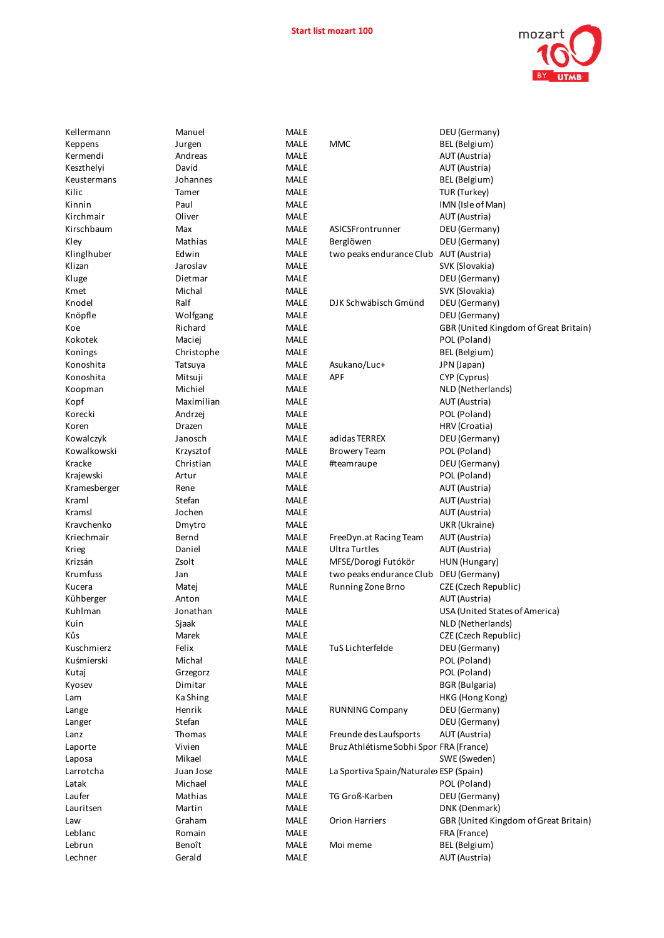

| Kellermann   | Manuel     | <b>MALE</b> |                                         | DEU (Germany)                         |
|--------------|------------|-------------|-----------------------------------------|---------------------------------------|
| Keppens      | Jurgen     | <b>MALE</b> | MMC                                     | BEL (Belgium)                         |
| Kermendi     | Andreas    | <b>MALE</b> |                                         | AUT (Austria)                         |
| Keszthelyi   | David      | MALE        |                                         | AUT (Austria)                         |
| Keustermans  | Johannes   | MALE        |                                         | BEL (Belgium)                         |
| Kilic        | Tamer      | <b>MALE</b> |                                         | TUR (Turkey)                          |
| Kinnin       | Paul       | <b>MALE</b> |                                         | IMN (Isle of Man)                     |
| Kirchmair    | Oliver     | <b>MALE</b> |                                         | AUT (Austria)                         |
| Kirschbaum   | Max        | MALE        | ASICSFrontrunner                        | DEU (Germany)                         |
| Kley         | Mathias    | <b>MALE</b> | Berglöwen                               | DEU (Germany)                         |
| Klinglhuber  | Edwin      | <b>MALE</b> | two peaks endurance Club                | AUT (Austria)                         |
|              | Jaroslav   | MALE        |                                         | SVK (Slovakia)                        |
| Klizan       | Dietmar    |             |                                         |                                       |
| Kluge        |            | <b>MALE</b> |                                         | DEU (Germany)                         |
| Kmet         | Michal     | <b>MALE</b> |                                         | SVK (Slovakia)                        |
| Knodel       | Ralf       | MALE        | DJK Schwäbisch Gmünd                    | DEU (Germany)                         |
| Knöpfle      | Wolfgang   | MALE        |                                         | DEU (Germany)                         |
| Koe          | Richard    | <b>MALE</b> |                                         | GBR (United Kingdom of Great Britain) |
| Kokotek      | Maciej     | <b>MALE</b> |                                         | POL (Poland)                          |
| Konings      | Christophe | MALE        |                                         | BEL (Belgium)                         |
| Konoshita    | Tatsuya    | <b>MALE</b> | Asukano/Luc+                            | JPN (Japan)                           |
| Konoshita    | Mitsuji    | <b>MALE</b> | APF                                     | CYP (Cyprus)                          |
| Koopman      | Michiel    | MALE        |                                         | NLD (Netherlands)                     |
| Kopf         | Maximilian | MALE        |                                         | AUT (Austria)                         |
| Korecki      | Andrzej    | <b>MALE</b> |                                         | POL (Poland)                          |
| Koren        | Drazen     | MALE        |                                         | HRV (Croatia)                         |
| Kowalczyk    | Janosch    | <b>MALE</b> | adidas TERREX                           | DEU (Germany)                         |
| Kowalkowski  | Krzysztof  | <b>MALE</b> | <b>Browery Team</b>                     | POL (Poland)                          |
| Kracke       | Christian  | MALE        | #teamraupe                              | DEU (Germany)                         |
| Krajewski    | Artur      | MALE        |                                         | POL (Poland)                          |
| Kramesberger | Rene       | <b>MALE</b> |                                         | AUT (Austria)                         |
| Kraml        | Stefan     | <b>MALE</b> |                                         | AUT (Austria)                         |
| Kramsl       | Jochen     | <b>MALE</b> |                                         | AUT (Austria)                         |
| Kravchenko   | Dmytro     | <b>MALE</b> |                                         | UKR (Ukraine)                         |
| Kriechmair   | Bernd      | <b>MALE</b> | FreeDyn.at Racing Team                  | AUT (Austria)                         |
|              |            | <b>MALE</b> | <b>Ultra Turtles</b>                    |                                       |
| Krieg        | Daniel     |             |                                         | AUT (Austria)                         |
| Krizsán      | Zsolt      | MALE        | MFSE/Dorogi Futókör                     | HUN (Hungary)                         |
| Krumfuss     | Jan        | <b>MALE</b> | two peaks endurance Club                | DEU (Germany)                         |
| Kucera       | Matej      | MALE        | Running Zone Brno                       | CZE (Czech Republic)                  |
| Kühberger    | Anton      | <b>MALE</b> |                                         | AUT (Austria)                         |
| Kuhlman      | Jonathan   | <b>MALE</b> |                                         | USA (United States of America)        |
| Kuin         | Sjaak      | <b>MALE</b> |                                         | NLD (Netherlands)                     |
| Kůs          | Marek      | MALE        |                                         | CZE (Czech Republic)                  |
| Kuschmierz   | Felix      | MALE        | TuS Lichterfelde                        | DEU (Germany)                         |
| Kuśmierski   | Michał     | MALE        |                                         | POL (Poland)                          |
| Kutaj        | Grzegorz   | MALE        |                                         | POL (Poland)                          |
| Kyosev       | Dimitar    | MALE        |                                         | <b>BGR</b> (Bulgaria)                 |
| Lam          | Ka Shing   | <b>MALE</b> |                                         | HKG (Hong Kong)                       |
| Lange        | Henrik     | MALE        | <b>RUNNING Company</b>                  | DEU (Germany)                         |
| Langer       | Stefan     | <b>MALE</b> |                                         | DEU (Germany)                         |
| Lanz         | Thomas     | MALE        | Freunde des Laufsports                  | AUT (Austria)                         |
| Laporte      | Vivien     | MALE        | Bruz Athlétisme Sobhi Spor FRA (France) |                                       |
| Laposa       | Mikael     | <b>MALE</b> |                                         | SWE (Sweden)                          |
| Larrotcha    | Juan Jose  | MALE        | La Sportiva Spain/Naturale> ESP (Spain) |                                       |
| Latak        | Michael    | MALE        |                                         | POL (Poland)                          |
| Laufer       | Mathias    | MALE        | TG Groß-Karben                          | DEU (Germany)                         |
| Lauritsen    | Martin     | MALE        |                                         | DNK (Denmark)                         |
|              |            |             |                                         |                                       |
| Law          | Graham     | MALE        | <b>Orion Harriers</b>                   | GBR (United Kingdom of Great Britain) |
| Leblanc      | Romain     | MALE        |                                         | FRA (France)                          |
| Lebrun       | Benoît     | <b>MALE</b> | Moi meme                                | BEL (Belgium)                         |
| Lechner      | Gerald     | MALE        |                                         | AUT (Austria)                         |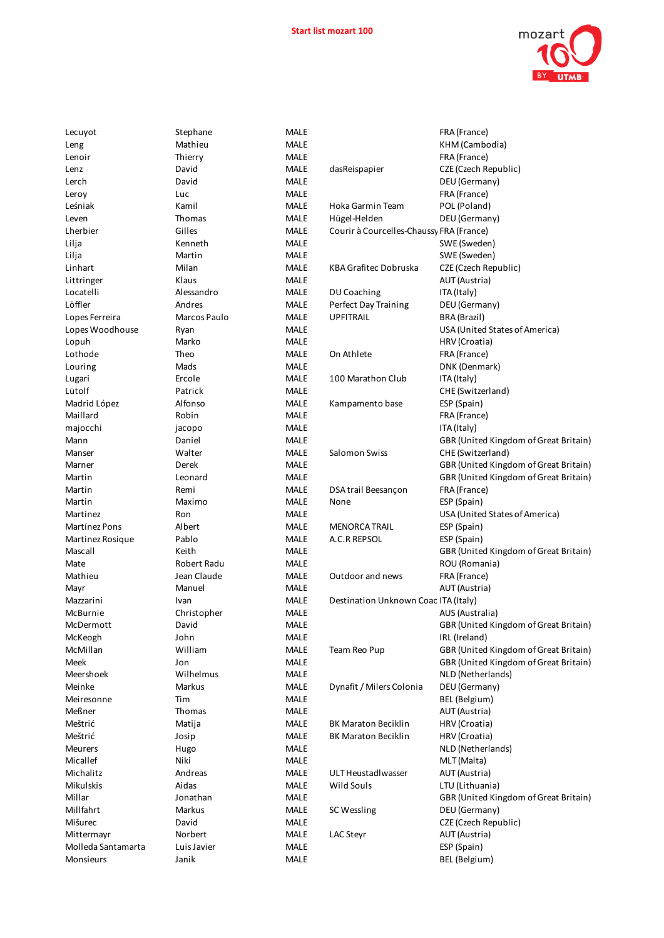

| Lecuyot            | Stephane     | MALE        |                                          | FRA (France)                          |
|--------------------|--------------|-------------|------------------------------------------|---------------------------------------|
| Leng               | Mathieu      | <b>MALE</b> |                                          | KHM (Cambodia)                        |
| Lenoir             | Thierry      | <b>MALE</b> |                                          | FRA (France)                          |
| Lenz               | David        | MALE        | dasReispapier                            | CZE (Czech Republic)                  |
| Lerch              | David        | <b>MALE</b> |                                          | DEU (Germany)                         |
| Leroy              | Luc          | <b>MALE</b> |                                          | FRA (France)                          |
| Leśniak            | Kamil        | <b>MALE</b> | Hoka Garmin Team                         | POL (Poland)                          |
| Leven              | Thomas       | <b>MALE</b> | Hügel-Helden                             | DEU (Germany)                         |
| Lherbier           | Gilles       | <b>MALE</b> | Courir à Courcelles-Chaussy FRA (France) |                                       |
| Lilja              | Kenneth      | <b>MALE</b> |                                          | SWE (Sweden)                          |
| Lilja              | Martin       | MALE        |                                          | SWE (Sweden)                          |
| Linhart            | Milan        | MALE        | KBA Grafitec Dobruska                    | CZE (Czech Republic)                  |
| Littringer         | Klaus        | <b>MALE</b> |                                          | AUT (Austria)                         |
| Locatelli          | Alessandro   | MALE        | DU Coaching                              | ITA (Italy)                           |
| Löffler            | Andres       | <b>MALE</b> | Perfect Day Training                     | DEU (Germany)                         |
| Lopes Ferreira     | Marcos Paulo | <b>MALE</b> | <b>UPFITRAIL</b>                         | BRA (Brazil)                          |
| Lopes Woodhouse    | Ryan         | MALE        |                                          | USA (United States of America)        |
| Lopuh              | Marko        | <b>MALE</b> |                                          | HRV (Croatia)                         |
| Lothode            | Theo         | <b>MALE</b> | On Athlete                               | FRA (France)                          |
| Louring            | Mads         | <b>MALE</b> |                                          | DNK (Denmark)                         |
| Lugari             | Ercole       | <b>MALE</b> | 100 Marathon Club                        | ITA (Italy)                           |
| Lütolf             | Patrick      | MALE        |                                          | CHE (Switzerland)                     |
| Madrid López       | Alfonso      | <b>MALE</b> | Kampamento base                          | ESP (Spain)                           |
| Maillard           | Robin        | <b>MALE</b> |                                          | FRA (France)                          |
| majocchi           | jacopo       | <b>MALE</b> |                                          | ITA (Italy)                           |
| Mann               | Daniel       | <b>MALE</b> |                                          | GBR (United Kingdom of Great Britain) |
| Manser             | Walter       | <b>MALE</b> | Salomon Swiss                            | CHE (Switzerland)                     |
| Marner             | Derek        | <b>MALE</b> |                                          | GBR (United Kingdom of Great Britain) |
| Martin             | Leonard      | <b>MALE</b> |                                          | GBR (United Kingdom of Great Britain) |
| Martin             | Remi         | MALE        | DSA trail Beesançon                      | FRA (France)                          |
| Martin             | Maximo       | <b>MALE</b> | None                                     | ESP (Spain)                           |
| Martinez           | Ron          | <b>MALE</b> |                                          | USA (United States of America)        |
| Martínez Pons      | Albert       | MALE        | <b>MENORCA TRAIL</b>                     | ESP (Spain)                           |
| Martinez Rosique   | Pablo        | <b>MALE</b> | A.C.R REPSOL                             | ESP (Spain)                           |
| Mascall            | Keith        | MALE        |                                          | GBR (United Kingdom of Great Britain) |
| Mate               | Robert Radu  | MALE        |                                          | ROU (Romania)                         |
| Mathieu            | Jean Claude  | <b>MALE</b> | Outdoor and news                         | FRA (France)                          |
| Mayr               | Manuel       | <b>MALE</b> |                                          | AUT (Austria)                         |
| Mazzarini          | Ivan         | <b>MALE</b> | Destination Unknown Coac ITA (Italy)     |                                       |
| McBurnie           | Christopher  | <b>MALE</b> |                                          | AUS (Australia)                       |
| McDermott          | David        | MALE        |                                          | GBR (United Kingdom of Great Britain) |
| McKeogh            | John         | MALE        |                                          | IRL (Ireland)                         |
| McMillan           | William      | MALE        | Team Reo Pup                             | GBR (United Kingdom of Great Britain) |
| Meek               | Jon          | MALE        |                                          | GBR (United Kingdom of Great Britain) |
| Meershoek          | Wilhelmus    | MALE        |                                          | NLD (Netherlands)                     |
| Meinke             | Markus       | MALE        | Dynafit / Milers Colonia                 | DEU (Germany)                         |
| Meiresonne         | Tim          | MALE        |                                          | BEL (Belgium)                         |
| Meßner             | Thomas       | MALE        |                                          | AUT (Austria)                         |
| Meštrić            | Matija       | MALE        | <b>BK Maraton Beciklin</b>               | HRV (Croatia)                         |
| Meštrić            | Josip        | MALE        | <b>BK Maraton Beciklin</b>               | HRV (Croatia)                         |
| Meurers            | Hugo         | MALE        |                                          | NLD (Netherlands)                     |
| Micallef           | Niki         | MALE        |                                          | MLT (Malta)                           |
| Michalitz          | Andreas      | MALE        | ULT Heustadlwasser                       | AUT (Austria)                         |
| Mikulskis          | Aidas        | MALE        | Wild Souls                               | LTU (Lithuania)                       |
| Millar             | Jonathan     | MALE        |                                          | GBR (United Kingdom of Great Britain) |
| Millfahrt          | Markus       | MALE        | SC Wessling                              | DEU (Germany)                         |
| Mišurec            | David        | MALE        |                                          | CZE (Czech Republic)                  |
| Mittermayr         | Norbert      | MALE        | <b>LAC Steyr</b>                         | AUT (Austria)                         |
| Molleda Santamarta | Luis Javier  | MALE        |                                          | ESP (Spain)                           |
| Monsieurs          | Janik        | MALE        |                                          | BEL (Belgium)                         |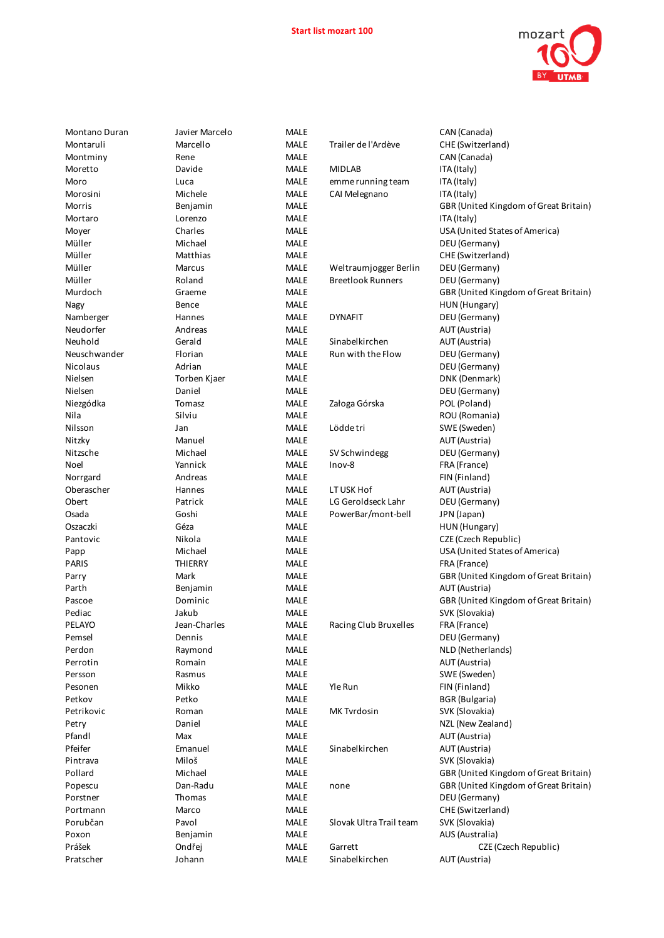

| Montano Duran     | Javier Marcelo     | <b>MALE</b>  |                           | CAN (Canada)                          |
|-------------------|--------------------|--------------|---------------------------|---------------------------------------|
| Montaruli         | Marcello           | <b>MALE</b>  | Trailer de l'Ardève       | CHE (Switzerland)                     |
| Montminy          | Rene               | <b>MALE</b>  |                           | CAN (Canada)                          |
| Moretto           | Davide             | MALE         | <b>MIDLAB</b>             | ITA (Italy)                           |
| Moro              | Luca               | MALE         | emme running team         | ITA (Italy)                           |
| Morosini          | Michele            | <b>MALE</b>  | CAI Melegnano             | ITA (Italy)                           |
| Morris            | Benjamin           | <b>MALE</b>  |                           | GBR (United Kingdom of Great Britain) |
| Mortaro           | Lorenzo            | MALE         |                           | ITA (Italy)                           |
| Moyer             | Charles            | MALE         |                           | USA (United States of America)        |
| Müller            | Michael            | <b>MALE</b>  |                           | DEU (Germany)                         |
| Müller            | Matthias           | MALE         |                           | CHE (Switzerland)                     |
| Müller            | Marcus             | MALE         | Weltraumjogger Berlin     | DEU (Germany)                         |
| Müller            | Roland             | MALE         | <b>Breetlook Runners</b>  | DEU (Germany)                         |
| Murdoch           | Graeme             | MALE         |                           | GBR (United Kingdom of Great Britain) |
| Nagy              | Bence              | MALE         |                           | HUN (Hungary)                         |
| Namberger         | Hannes             | MALE         | <b>DYNAFIT</b>            | DEU (Germany)                         |
| Neudorfer         | Andreas            | MALE         |                           | AUT (Austria)                         |
| Neuhold           | Gerald             | MALE         | Sinabelkirchen            | AUT (Austria)                         |
| Neuschwander      | Florian            | <b>MALE</b>  | Run with the Flow         | DEU (Germany)                         |
| Nicolaus          | Adrian             | MALE         |                           | DEU (Germany)                         |
| Nielsen           | Torben Kjaer       | MALE         |                           | DNK (Denmark)                         |
| Nielsen           | Daniel             | <b>MALE</b>  |                           | DEU (Germany)                         |
| Niezgódka         | Tomasz             | MALE         | Załoga Górska             | POL (Poland)                          |
| Nila              | Silviu             | MALE         |                           | ROU (Romania)                         |
| Nilsson           | Jan                | <b>MALE</b>  | Lödde tri                 | SWE (Sweden)                          |
| Nitzky            | Manuel             | <b>MALE</b>  |                           | AUT (Austria)                         |
| Nitzsche          | Michael            | MALE         | SV Schwindegg             | DEU (Germany)                         |
| Noel              | Yannick            | MALE         | Inov-8                    | FRA (France)                          |
| Norrgard          | Andreas            | MALE         |                           | FIN (Finland)                         |
| Oberascher        | Hannes             | MALE         | LT USK Hof                | AUT (Austria)                         |
| Obert             | Patrick            | <b>MALE</b>  | LG Geroldseck Lahr        | DEU (Germany)                         |
| Osada             | Goshi              | MALE         | PowerBar/mont-bell        | JPN (Japan)                           |
| Oszaczki          | Géza               | <b>MALE</b>  |                           | HUN (Hungary)                         |
| Pantovic          | Nikola             | MALE         |                           | CZE (Czech Republic)                  |
| Papp              | Michael            | <b>MALE</b>  |                           | USA (United States of America)        |
| PARIS             | THIERRY            | MALE         |                           | FRA (France)                          |
| Parry             | Mark               | <b>MALE</b>  |                           | GBR (United Kingdom of Great Britain) |
| Parth             | Benjamin           | <b>MALE</b>  |                           | AUT (Austria)                         |
| Pascoe            | Dominic            | <b>MALE</b>  |                           | GBR (United Kingdom of Great Britain) |
| Pediac            | Jakub              | <b>MALE</b>  |                           | SVK (Slovakia)                        |
| PELAYO            | Jean-Charles       | MALE         | Racing Club Bruxelles     | FRA (France)                          |
| Pemsel            | Dennis             | MALE         |                           | DEU (Germany)                         |
| Perdon            | Raymond            | <b>MALE</b>  |                           | NLD (Netherlands)                     |
| Perrotin          | Romain             | MALE         |                           | AUT (Austria)                         |
| Persson           | Rasmus             | <b>MALE</b>  |                           | SWE (Sweden)                          |
| Pesonen           | Mikko              | MALE         | Yle Run                   | FIN (Finland)                         |
| Petkov            | Petko              | <b>MALE</b>  |                           | <b>BGR</b> (Bulgaria)                 |
| Petrikovic        | Roman              | MALE         | MK Tvrdosin               | SVK (Slovakia)                        |
| Petry             | Daniel             | <b>MALE</b>  |                           | NZL (New Zealand)                     |
| Pfandl            | Max                | MALE         |                           | AUT (Austria)                         |
| Pfeifer           | Emanuel            | MALE         | Sinabelkirchen            | AUT (Austria)                         |
| Pintrava          | Miloš              | <b>MALE</b>  |                           | SVK (Slovakia)                        |
| Pollard           | Michael            | <b>MALE</b>  |                           | GBR (United Kingdom of Great Britain) |
| Popescu           | Dan-Radu           | <b>MALE</b>  | none                      | GBR (United Kingdom of Great Britain) |
| Porstner          | Thomas             | MALE         |                           | DEU (Germany)                         |
| Portmann          | Marco              | MALE         |                           | CHE (Switzerland)                     |
| Porubčan<br>Poxon | Pavol              | MALE         | Slovak Ultra Trail team   | SVK (Slovakia)<br>AUS (Australia)     |
| Prášek            | Benjamin<br>Ondřej | MALE<br>MALE |                           |                                       |
| Pratscher         | Johann             | MALE         | Garrett<br>Sinabelkirchen | CZE (Czech Republic)<br>AUT (Austria) |
|                   |                    |              |                           |                                       |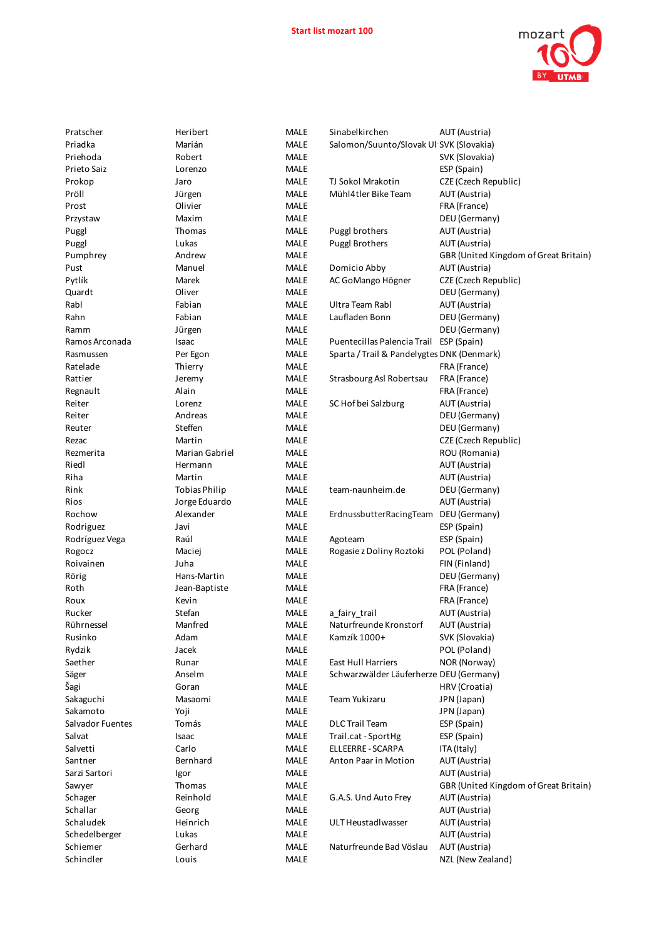

|                     | <b>IALI</b> | $\overline{\phantom{a}}$ |
|---------------------|-------------|--------------------------|
| <b>MALE</b>         |             |                          |
| <b>MALE</b>         |             |                          |
| <b>MALE</b>         |             |                          |
| <b>MALE</b>         |             |                          |
| <b>MALE</b>         |             |                          |
| <b>MALE</b>         |             |                          |
| <b>MALE</b>         |             |                          |
| <b>MALE</b>         |             |                          |
|                     |             |                          |
| MALE<br><b>MALE</b> |             |                          |
|                     |             |                          |
| <b>MALE</b>         |             |                          |
| <b>MALE</b>         |             |                          |
| <b>MALE</b>         |             |                          |
| <b>MALE</b>         |             |                          |
| <b>MALE</b>         |             |                          |
| <b>MALE</b>         |             |                          |
| <b>MALE</b>         |             |                          |
| <b>MALE</b>         |             |                          |
| <b>MALE</b>         |             |                          |
| <b>MALE</b>         |             |                          |
| MALE                |             |                          |
| <b>MALE</b>         |             |                          |
| <b>MALE</b>         |             |                          |
| <b>MALE</b>         |             |                          |
| <b>MALE</b>         |             |                          |
| <b>MALE</b>         |             |                          |
| <b>MALE</b>         |             |                          |
| <b>MALE</b>         |             |                          |
| <b>MALE</b>         |             |                          |
| <b>MALE</b>         |             |                          |
|                     |             |                          |
| <b>MALE</b>         |             |                          |
| <b>MALE</b>         |             |                          |
| MALE                |             |                          |
| <b>MALE</b>         |             |                          |
| <b>MALE</b>         |             |                          |
| <b>MALE</b>         |             |                          |
| <b>MALE</b>         |             |                          |
| <b>MALE</b>         |             |                          |
| <b>MALE</b>         |             |                          |
| MALE                |             |                          |
| MALE                |             |                          |
| <b>MALE</b>         |             |                          |
| <b>MALE</b>         |             |                          |
| <b>MALE</b>         |             |                          |
| <b>MALE</b>         |             |                          |
| <b>MALE</b>         |             |                          |
| MALE                |             |                          |
| <b>MALE</b>         |             |                          |
| <b>MALE</b>         |             |                          |
| <b>MALE</b>         |             |                          |
| <b>MALE</b>         |             |                          |
| <b>MALE</b>         |             |                          |
| MALE                |             |                          |
| <b>MALE</b>         |             |                          |
|                     |             |                          |
| <b>MALE</b>         |             |                          |
| <b>MALE</b>         |             |                          |
| <b>MALE</b>         |             |                          |
| <b>MALE</b>         |             |                          |
| MALE                |             |                          |

| Pratscher        | Heribert             | <b>MALE</b> | Sinabelkirchen                             | AUT (Austria)                         |
|------------------|----------------------|-------------|--------------------------------------------|---------------------------------------|
| Priadka          | Marián               | <b>MALE</b> | Salomon/Suunto/Slovak Ul SVK (Slovakia)    |                                       |
| Priehoda         | Robert               | <b>MALE</b> |                                            | SVK (Slovakia)                        |
| Prieto Saiz      | Lorenzo              | <b>MALE</b> |                                            | ESP (Spain)                           |
| Prokop           | Jaro                 | <b>MALE</b> | TJ Sokol Mrakotin                          | CZE (Czech Republic)                  |
| Pröll            | Jürgen               | <b>MALE</b> | Mühl4tler Bike Team                        | AUT (Austria)                         |
| Prost            | Olivier              | <b>MALE</b> |                                            | FRA (France)                          |
| Przystaw         | Maxim                | <b>MALE</b> |                                            | DEU (Germany)                         |
| Puggl            | Thomas               | <b>MALE</b> | Puggl brothers                             | AUT (Austria)                         |
| Puggl            | Lukas                | <b>MALE</b> | Puggl Brothers                             | AUT (Austria)                         |
| Pumphrey         | Andrew               | <b>MALE</b> |                                            | GBR (United Kingdom of Great Britain) |
| Pust             | Manuel               | <b>MALE</b> | Domicio Abby                               | AUT (Austria)                         |
| Pytlík           | Marek                | <b>MALE</b> | AC GoMango Högner                          | CZE (Czech Republic)                  |
| Quardt           | Oliver               | <b>MALE</b> |                                            | DEU (Germany)                         |
| Rabl             | Fabian               | <b>MALE</b> | Ultra Team Rabl                            | AUT (Austria)                         |
| Rahn             |                      | <b>MALE</b> | Laufladen Bonn                             |                                       |
|                  | Fabian               |             |                                            | DEU (Germany)                         |
| Ramm             | Jürgen               | <b>MALE</b> |                                            | DEU (Germany)                         |
| Ramos Arconada   | Isaac                | <b>MALE</b> | Puentecillas Palencia Trail                | ESP (Spain)                           |
| Rasmussen        | Per Egon             | <b>MALE</b> | Sparta / Trail & Pandelygtes DNK (Denmark) |                                       |
| Ratelade         | Thierry              | <b>MALE</b> |                                            | FRA (France)                          |
| Rattier          | Jeremy               | <b>MALE</b> | Strasbourg Asl Robertsau                   | FRA (France)                          |
| Regnault         | Alain                | MALE        |                                            | FRA (France)                          |
| Reiter           | Lorenz               | <b>MALE</b> | SC Hof bei Salzburg                        | AUT (Austria)                         |
| Reiter           | Andreas              | <b>MALE</b> |                                            | DEU (Germany)                         |
| Reuter           | Steffen              | MALE        |                                            | DEU (Germany)                         |
| Rezac            | Martin               | <b>MALE</b> |                                            | CZE (Czech Republic)                  |
| Rezmerita        | Marian Gabriel       | <b>MALE</b> |                                            | ROU (Romania)                         |
| Riedl            | Hermann              | <b>MALE</b> |                                            | AUT (Austria)                         |
| Riha             | Martin               | <b>MALE</b> |                                            | AUT (Austria)                         |
| Rink             | <b>Tobias Philip</b> | <b>MALE</b> | team-naunheim.de                           | DEU (Germany)                         |
| Rios             | Jorge Eduardo        | MALE        |                                            | AUT (Austria)                         |
| Rochow           | Alexander            | <b>MALE</b> | ErdnussbutterRacingTeam                    | DEU (Germany)                         |
| Rodriguez        | Javi                 | MALE        |                                            | ESP (Spain)                           |
| Rodríguez Vega   | Raúl                 | <b>MALE</b> | Agoteam                                    | ESP (Spain)                           |
| Rogocz           | Maciej               | <b>MALE</b> | Rogasie z Doliny Roztoki                   | POL (Poland)                          |
| Roivainen        | Juha                 | <b>MALE</b> |                                            | FIN (Finland)                         |
| Rörig            | Hans-Martin          | <b>MALE</b> |                                            | DEU (Germany)                         |
| Roth             | Jean-Baptiste        | <b>MALE</b> |                                            | FRA (France)                          |
| Roux             | Kevin                | <b>MALE</b> |                                            | FRA (France)                          |
| Rucker           | Stefan               | <b>MALE</b> | a fairy trail                              | AUT (Austria)                         |
| Rührnessel       | Manfred              | <b>MALE</b> | Naturfreunde Kronstorf                     | AUT (Austria)                         |
| Rusinko          | Adam                 | MALE        | Kamzík 1000+                               | SVK (Slovakia)                        |
| Rydzik           | Jacek                | MALE        |                                            | POL (Poland)                          |
| Saether          | Runar                | MALE        | <b>East Hull Harriers</b>                  | NOR (Norway)                          |
| Säger            | Anselm               | <b>MALE</b> | Schwarzwälder Läuferherze DEU (Germany)    |                                       |
| Šagi             | Goran                | <b>MALE</b> |                                            | HRV (Croatia)                         |
| Sakaguchi        | Masaomi              | MALE        | Team Yukizaru                              | JPN (Japan)                           |
| Sakamoto         | Yoji                 | <b>MALE</b> |                                            | JPN (Japan)                           |
| Salvador Fuentes | Tomás                | <b>MALE</b> | <b>DLC Trail Team</b>                      | ESP (Spain)                           |
| Salvat           | Isaac                | <b>MALE</b> | Trail.cat - SportHg                        | ESP (Spain)                           |
| Salvetti         | Carlo                | <b>MALE</b> | ELLEERRE - SCARPA                          | ITA (Italy)                           |
| Santner          | Bernhard             | MALE        | Anton Paar in Motion                       | AUT (Austria)                         |
| Sarzi Sartori    |                      | <b>MALE</b> |                                            |                                       |
|                  | Igor                 |             |                                            | AUT (Austria)                         |
| Sawyer           | Thomas               | MALE        |                                            | GBR (United Kingdom of Great Britain) |
| Schager          | Reinhold             | MALE        | G.A.S. Und Auto Frey                       | AUT (Austria)                         |
| Schallar         | Georg                | <b>MALE</b> |                                            | AUT (Austria)                         |
| Schaludek        | Heinrich             | MALE        | ULT Heustadlwasser                         | AUT (Austria)                         |
| Schedelberger    | Lukas                | <b>MALE</b> |                                            | AUT (Austria)                         |
| Schiemer         | Gerhard              | MALE        | Naturfreunde Bad Vöslau                    | AUT (Austria)                         |
| Schindler        | Louis                | MALE        |                                            | NZL (New Zealand)                     |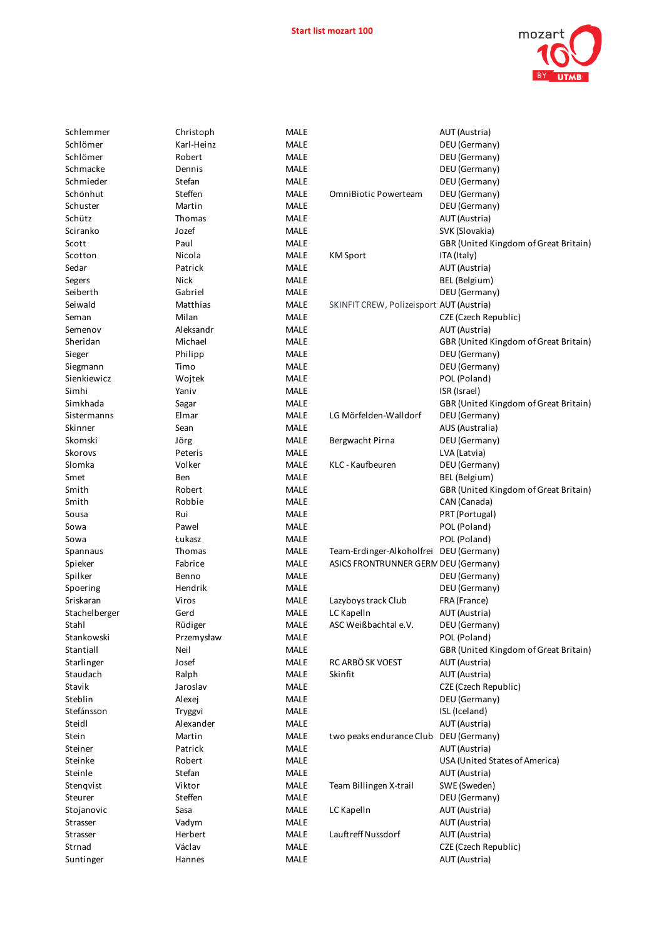

| L<br>í      |  |
|-------------|--|
| MALE        |  |
| MALE        |  |
|             |  |
| MALE        |  |
| MALE        |  |
| MALE        |  |
| MALE        |  |
| MALE        |  |
| MALE        |  |
|             |  |
| MALE        |  |
| MALE        |  |
| MALE        |  |
| MALE        |  |
| MALE        |  |
| MALE        |  |
| MALE        |  |
|             |  |
| MALE        |  |
| MALE        |  |
| MALE        |  |
| MALE        |  |
| MALE        |  |
| MALE        |  |
| MALE        |  |
|             |  |
| MALE        |  |
| MALE        |  |
| <b>MALE</b> |  |
| MALE        |  |
| MALE        |  |
| MALE        |  |
| MALE        |  |
|             |  |
| MALE        |  |
| MALE        |  |
| MALE        |  |
| MALE        |  |
| MALE        |  |
| MALE        |  |
| MALE        |  |
| MALE        |  |
| MALE        |  |
| MALE        |  |
| MALE        |  |
|             |  |
| MALE        |  |
| <b>MALE</b> |  |
| MALE        |  |
| MALE        |  |
| MALE        |  |
| MALE        |  |
| MALE        |  |
| MALE        |  |
| MALE        |  |
|             |  |
| MALE        |  |
| MALE        |  |
| MALE        |  |
| MALE        |  |
| MALE        |  |
| MALE        |  |
| MALE        |  |
| MALE        |  |
| MALE        |  |
|             |  |
| MALE        |  |
|             |  |

| Schlemmer     | Christoph  | MALE        |                                          | AUT (Austria)                         |
|---------------|------------|-------------|------------------------------------------|---------------------------------------|
| Schlömer      | Karl-Heinz | <b>MALE</b> |                                          | DEU (Germany)                         |
| Schlömer      | Robert     | <b>MALE</b> |                                          | DEU (Germany)                         |
| Schmacke      | Dennis     | <b>MALE</b> |                                          | DEU (Germany)                         |
| Schmieder     | Stefan     | <b>MALE</b> |                                          | DEU (Germany)                         |
| Schönhut      | Steffen    | <b>MALE</b> | <b>OmniBiotic Powerteam</b>              | DEU (Germany)                         |
| Schuster      | Martin     | <b>MALE</b> |                                          | DEU (Germany)                         |
| Schütz        | Thomas     | <b>MALE</b> |                                          | AUT (Austria)                         |
| Sciranko      | Jozef      | <b>MALE</b> |                                          | SVK (Slovakia)                        |
| Scott         | Paul       | <b>MALE</b> |                                          | GBR (United Kingdom of Great Britain) |
|               | Nicola     | <b>MALE</b> |                                          |                                       |
| Scotton       |            | <b>MALE</b> | <b>KM</b> Sport                          | ITA (Italy)                           |
| Sedar         | Patrick    |             |                                          | AUT (Austria)                         |
| Segers        | Nick       | <b>MALE</b> |                                          | BEL (Belgium)                         |
| Seiberth      | Gabriel    | <b>MALE</b> |                                          | DEU (Germany)                         |
| Seiwald       | Matthias   | <b>MALE</b> | SKINFIT CREW, Polizeisport AUT (Austria) |                                       |
| Seman         | Milan      | <b>MALE</b> |                                          | CZE (Czech Republic)                  |
| Semenov       | Aleksandr  | <b>MALE</b> |                                          | AUT (Austria)                         |
| Sheridan      | Michael    | <b>MALE</b> |                                          | GBR (United Kingdom of Great Britain) |
| Sieger        | Philipp    | <b>MALE</b> |                                          | DEU (Germany)                         |
| Siegmann      | Timo       | <b>MALE</b> |                                          | DEU (Germany)                         |
| Sienkiewicz   | Wojtek     | <b>MALE</b> |                                          | POL (Poland)                          |
| Simhi         | Yaniv      | <b>MALE</b> |                                          | ISR (Israel)                          |
| Simkhada      | Sagar      | <b>MALE</b> |                                          | GBR (United Kingdom of Great Britain) |
| Sistermanns   | Elmar      | <b>MALE</b> | LG Mörfelden-Walldorf                    | DEU (Germany)                         |
| Skinner       | Sean       | <b>MALE</b> |                                          | AUS (Australia)                       |
| Skomski       | Jörg       | <b>MALE</b> | Bergwacht Pirna                          | DEU (Germany)                         |
| Skorovs       | Peteris    | <b>MALE</b> |                                          | LVA (Latvia)                          |
| Slomka        | Volker     | <b>MALE</b> | KLC - Kaufbeuren                         | DEU (Germany)                         |
| Smet          | Ben        | <b>MALE</b> |                                          | BEL (Belgium)                         |
| Smith         | Robert     | <b>MALE</b> |                                          | GBR (United Kingdom of Great Britain) |
| Smith         | Robbie     | <b>MALE</b> |                                          | CAN (Canada)                          |
| Sousa         | Rui        | <b>MALE</b> |                                          | PRT (Portugal)                        |
| Sowa          | Pawel      | <b>MALE</b> |                                          | POL (Poland)                          |
| Sowa          | Łukasz     | <b>MALE</b> |                                          | POL (Poland)                          |
| Spannaus      | Thomas     | <b>MALE</b> | Team-Erdinger-Alkoholfrei DEU (Germany)  |                                       |
| Spieker       | Fabrice    | <b>MALE</b> | ASICS FRONTRUNNER GERN DEU (Germany)     |                                       |
| Spilker       | Benno      | <b>MALE</b> |                                          | DEU (Germany)                         |
| Spoering      | Hendrik    | <b>MALE</b> |                                          | DEU (Germany)                         |
|               |            |             |                                          |                                       |
| Sriskaran     | Viros      | <b>MALE</b> | Lazyboys track Club                      | FRA (France)                          |
| Stachelberger | Gerd       | <b>MALE</b> | LC Kapelln                               | AUT (Austria)                         |
| Stahl         | Rüdiger    | <b>MALE</b> | ASC Weißbachtal e.V.                     | DEU (Germany)                         |
| Stankowski    | Przemysław | <b>MALE</b> |                                          | POL (Poland)                          |
| Stantiall     | Neil       | <b>MALE</b> |                                          | GBR (United Kingdom of Great Britain) |
| Starlinger    | Josef      | MALE        | RC ARBÖ SK VOEST                         | AUT (Austria)                         |
| Staudach      | Ralph      | <b>MALE</b> | Skinfit                                  | AUT (Austria)                         |
| Stavik        | Jaroslav   | MALE        |                                          | CZE (Czech Republic)                  |
| Steblin       | Alexej     | MALE        |                                          | DEU (Germany)                         |
| Stefánsson    | Tryggvi    | MALE        |                                          | ISL (Iceland)                         |
| Steidl        | Alexander  | MALE        |                                          | AUT (Austria)                         |
| Stein         | Martin     | MALE        | two peaks endurance Club DEU (Germany)   |                                       |
| Steiner       | Patrick    | MALE        |                                          | AUT (Austria)                         |
| Steinke       | Robert     | MALE        |                                          | USA (United States of America)        |
| Steinle       | Stefan     | MALE        |                                          | AUT (Austria)                         |
| Stenqvist     | Viktor     | MALE        | Team Billingen X-trail                   | SWE (Sweden)                          |
| Steurer       | Steffen    | MALE        |                                          | DEU (Germany)                         |
| Stojanovic    | Sasa       | MALE        | LC Kapelln                               | AUT (Austria)                         |
| Strasser      | Vadym      | MALE        |                                          | AUT (Austria)                         |
| Strasser      | Herbert    | <b>MALE</b> | Lauftreff Nussdorf                       | AUT (Austria)                         |
| Strnad        | Václav     | <b>MALE</b> |                                          | CZE (Czech Republic)                  |
| Suntinger     | Hannes     | <b>MALE</b> |                                          | AUT (Austria)                         |
|               |            |             |                                          |                                       |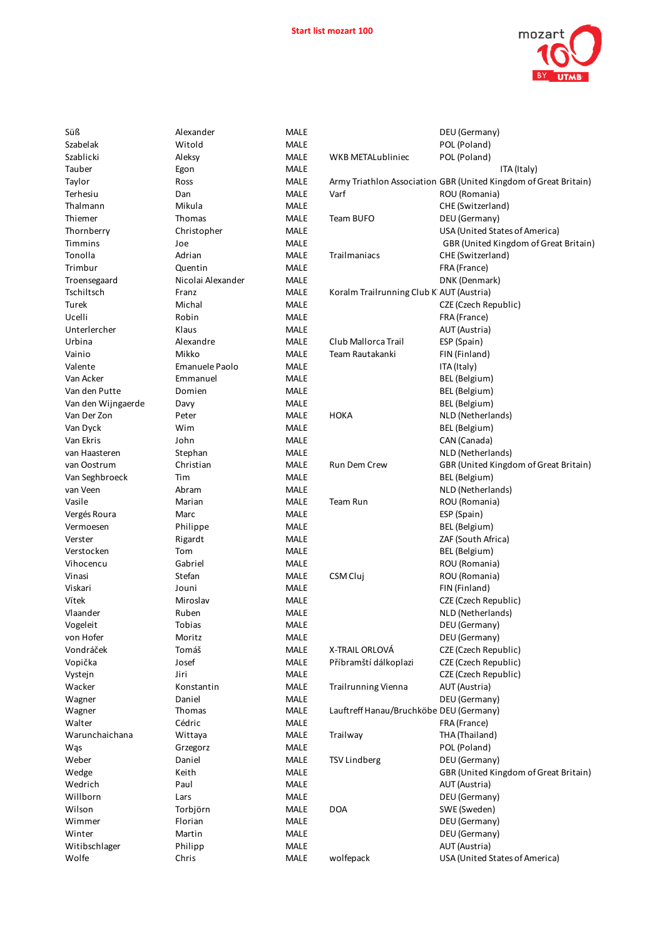

| <b>MALL</b> |                 |
|-------------|-----------------|
| MALE        |                 |
| MALE        | WKB ME          |
| <b>MALE</b> |                 |
| MALE        | Army Tri        |
| MALE        | Varf            |
| MALE        |                 |
| MALE        | Team BU         |
| MALE        |                 |
| MALE        |                 |
| MALE        | Trailman        |
| <b>MALE</b> |                 |
| MALE        |                 |
|             |                 |
| MALE        | Koralm T        |
| MALE        |                 |
| MALE        |                 |
| <b>MALE</b> |                 |
| MALE        | Club Mal        |
| <b>MALE</b> | Team Rai        |
| <b>MALE</b> |                 |
| MALE        |                 |
| MALE        |                 |
| <b>MALE</b> |                 |
| MALE        | НОКА            |
| MALE        |                 |
| <b>MALE</b> |                 |
| MALE        |                 |
| <b>MALE</b> | Run Dem         |
|             |                 |
| <b>MALE</b> |                 |
| <b>MALE</b> |                 |
| MALE        | Team Ru         |
| <b>MALE</b> |                 |
| MALE        |                 |
| MALE        |                 |
| MALE        |                 |
| <b>MALE</b> |                 |
| MALE        | CSM Cluj        |
| MALE        |                 |
| <b>MALE</b> |                 |
| MALE        |                 |
| MALE        |                 |
| MALE        |                 |
| MALE        | X-TRAIL (       |
| MALE        | Příbram!        |
|             |                 |
| MALE        |                 |
| MALE        | Trailrunr       |
| MALE        |                 |
| MALE        | Lauftreff       |
| MALE        |                 |
| MALE        | Trailway        |
| MALE        |                 |
| MALE        | <b>TSV Lind</b> |
| <b>MALE</b> |                 |
| MALE        |                 |
| <b>MALE</b> |                 |
| MALE        | <b>DOA</b>      |
| MALE        |                 |
| MALE        |                 |
|             |                 |
| MALE        |                 |
| MALE        | wolfepad        |

| Süß                | Alexander         | <b>MALE</b> |                                          | DEU (Germany)                                                    |
|--------------------|-------------------|-------------|------------------------------------------|------------------------------------------------------------------|
| Szabelak           | Witold            | <b>MALE</b> |                                          | POL (Poland)                                                     |
| Szablicki          | Aleksy            | <b>MALE</b> | WKB METALubliniec                        | POL (Poland)                                                     |
| Tauber             | Egon              | <b>MALE</b> |                                          | ITA (Italy)                                                      |
| Taylor             | Ross              | <b>MALE</b> |                                          | Army Triathlon Association GBR (United Kingdom of Great Britain) |
| Terhesiu           | Dan               | <b>MALE</b> | Varf                                     | ROU (Romania)                                                    |
| Thalmann           | Mikula            | <b>MALE</b> |                                          | CHE (Switzerland)                                                |
| Thiemer            | Thomas            | <b>MALE</b> | Team BUFO                                | DEU (Germany)                                                    |
| Thornberry         | Christopher       | MALE        |                                          | USA (United States of America)                                   |
| Timmins            | Joe               | <b>MALE</b> |                                          | GBR (United Kingdom of Great Britain)                            |
| Tonolla            | Adrian            | <b>MALE</b> | Trailmaniacs                             | CHE (Switzerland)                                                |
| Trimbur            | Quentin           | <b>MALE</b> |                                          | FRA (France)                                                     |
| Troensegaard       | Nicolai Alexander | <b>MALE</b> |                                          | DNK (Denmark)                                                    |
| Tschiltsch         | Franz             | <b>MALE</b> | Koralm Trailrunning Club K AUT (Austria) |                                                                  |
| <b>Turek</b>       | Michal            | <b>MALE</b> |                                          | CZE (Czech Republic)                                             |
| Ucelli             | Robin             | <b>MALE</b> |                                          | FRA (France)                                                     |
| Unterlercher       | Klaus             | <b>MALE</b> |                                          | AUT (Austria)                                                    |
| Urbina             | Alexandre         | <b>MALE</b> | Club Mallorca Trail                      | ESP (Spain)                                                      |
| Vainio             | Mikko             | <b>MALE</b> | Team Rautakanki                          | FIN (Finland)                                                    |
| Valente            | Emanuele Paolo    | MALE        |                                          | ITA (Italy)                                                      |
|                    |                   |             |                                          |                                                                  |
| Van Acker          | Emmanuel          | <b>MALE</b> |                                          | BEL (Belgium)                                                    |
| Van den Putte      | Domien            | <b>MALE</b> |                                          | BEL (Belgium)                                                    |
| Van den Wijngaerde | Davy              | <b>MALE</b> |                                          | BEL (Belgium)                                                    |
| Van Der Zon        | Peter             | <b>MALE</b> | <b>HOKA</b>                              | NLD (Netherlands)                                                |
| Van Dyck           | Wim               | <b>MALE</b> |                                          | <b>BEL</b> (Belgium)                                             |
| Van Ekris          | John              | <b>MALE</b> |                                          | CAN (Canada)                                                     |
| van Haasteren      | Stephan           | <b>MALE</b> |                                          | NLD (Netherlands)                                                |
| van Oostrum        | Christian         | <b>MALE</b> | <b>Run Dem Crew</b>                      | GBR (United Kingdom of Great Britain)                            |
| Van Seghbroeck     | Tim               | <b>MALE</b> |                                          | BEL (Belgium)                                                    |
| van Veen           | Abram             | <b>MALE</b> |                                          | NLD (Netherlands)                                                |
| Vasile             | Marian            | <b>MALE</b> | Team Run                                 | ROU (Romania)                                                    |
| Vergés Roura       | Marc              | <b>MALE</b> |                                          | ESP (Spain)                                                      |
| Vermoesen          | Philippe          | <b>MALE</b> |                                          | BEL (Belgium)                                                    |
| Verster            | Rigardt           | <b>MALE</b> |                                          | ZAF (South Africa)                                               |
| Verstocken         | Tom               | <b>MALE</b> |                                          | BEL (Belgium)                                                    |
| Vihocencu          | Gabriel           | MALE        |                                          | ROU (Romania)                                                    |
| Vinasi             | Stefan            | <b>MALE</b> | CSM Cluj                                 | ROU (Romania)                                                    |
| Viskari            | Jouni             | <b>MALE</b> |                                          | FIN (Finland)                                                    |
| Vítek              | Miroslav          | <b>MALE</b> |                                          | CZE (Czech Republic)                                             |
| Vlaander           | Ruben             | <b>MALE</b> |                                          | NLD (Netherlands)                                                |
| Vogeleit           | Tobias            | <b>MALE</b> |                                          | DEU (Germany)                                                    |
| von Hofer          | Moritz            | <b>MALE</b> |                                          | DEU (Germany)                                                    |
| Vondráček          | Tomáš             | MALE        | X-TRAIL ORLOVÁ                           | CZE (Czech Republic)                                             |
| Vopička            | Josef             | <b>MALE</b> | Příbramští dálkoplazi                    | CZE (Czech Republic)                                             |
| Vystejn            | Jiri              | <b>MALE</b> |                                          | CZE (Czech Republic)                                             |
| Wacker             | Konstantin        | <b>MALE</b> | <b>Trailrunning Vienna</b>               | AUT (Austria)                                                    |
| Wagner             | Daniel            | <b>MALE</b> |                                          | DEU (Germany)                                                    |
| Wagner             | Thomas            | <b>MALE</b> | Lauftreff Hanau/Bruchköbe DEU (Germany)  |                                                                  |
| Walter             | Cédric            | <b>MALE</b> |                                          | FRA (France)                                                     |
| Warunchaichana     | Wittaya           | <b>MALE</b> | Trailway                                 | THA (Thailand)                                                   |
| Wąs                | Grzegorz          | <b>MALE</b> |                                          | POL (Poland)                                                     |
| Weber              | Daniel            | <b>MALE</b> | <b>TSV Lindberg</b>                      | DEU (Germany)                                                    |
| Wedge              | Keith             | <b>MALE</b> |                                          | GBR (United Kingdom of Great Britain)                            |
| Wedrich            | Paul              | <b>MALE</b> |                                          | AUT (Austria)                                                    |
| Willborn           | Lars              | <b>MALE</b> |                                          | DEU (Germany)                                                    |
| Wilson             | Torbjörn          | <b>MALE</b> | <b>DOA</b>                               | SWE (Sweden)                                                     |
| Wimmer             | Florian           | <b>MALE</b> |                                          | DEU (Germany)                                                    |
| Winter             | Martin            | <b>MALE</b> |                                          | DEU (Germany)                                                    |
| Witibschlager      | Philipp           | <b>MALE</b> |                                          | AUT (Austria)                                                    |
| Wolfe              | Chris             | <b>MALE</b> | wolfepack                                | USA (United States of America)                                   |
|                    |                   |             |                                          |                                                                  |